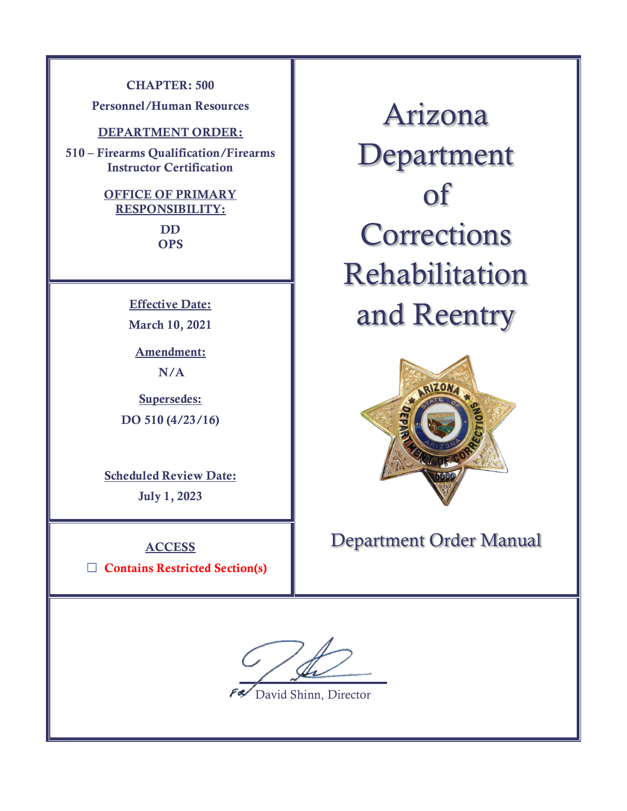**CHAPTER: 500**

**Personnel/Human Resources**

### **DEPARTMENT ORDER:**

**510 – Firearms Qualification/Firearms Instructor Certification**

## **OFFICE OF PRIMARY RESPONSIBILITY: DD**

**OPS**

**Effective Date: March 10, 2021**

**Amendment: N/A**

**Supersedes: DO 510 (4/23/16)**

**Scheduled Review Date: July 1, 2023**

### **ACCESS**

☐ **Contains Restricted Section(s)**

Arizona Department of **Corrections** Rehabilitation and Reentry



# Department Order Manual

 $\overline{a}$ 

David Shinn, Director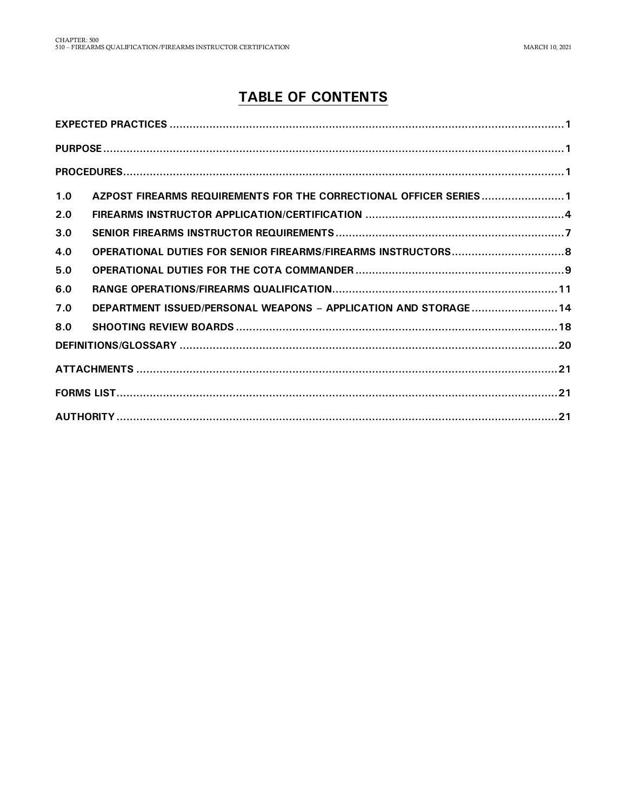# **TABLE OF CONTENTS**

| 1.0 | AZPOST FIREARMS REQUIREMENTS FOR THE CORRECTIONAL OFFICER SERIES1 |  |
|-----|-------------------------------------------------------------------|--|
| 2.0 |                                                                   |  |
| 3.0 |                                                                   |  |
| 4.0 |                                                                   |  |
| 5.0 |                                                                   |  |
| 6.0 |                                                                   |  |
| 7.0 | DEPARTMENT ISSUED/PERSONAL WEAPONS - APPLICATION AND STORAGE 14   |  |
| 8.0 |                                                                   |  |
|     |                                                                   |  |
|     |                                                                   |  |
|     |                                                                   |  |
|     |                                                                   |  |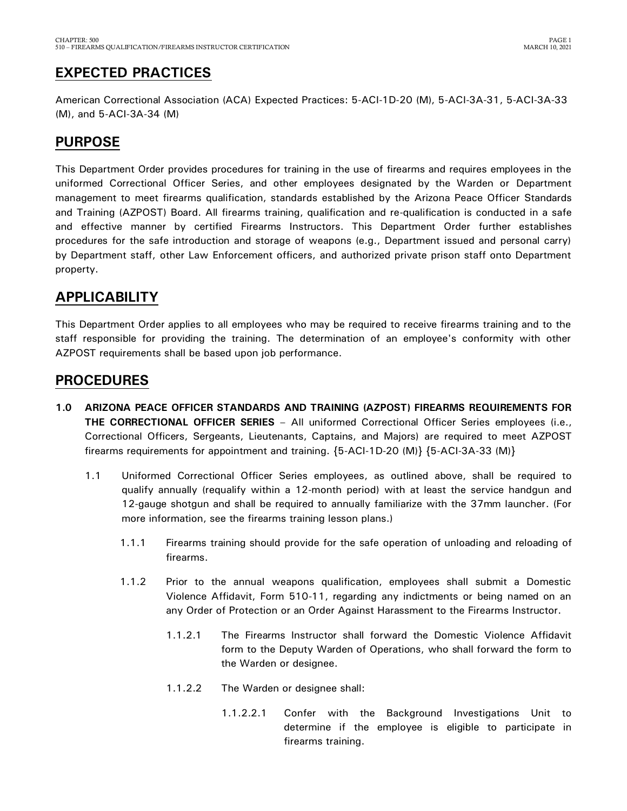# <span id="page-2-0"></span>**EXPECTED PRACTICES**

American Correctional Association (ACA) Expected Practices: 5-ACI-1D-20 (M), 5-ACI-3A-31, 5-ACI-3A-33 (M), and 5-ACI-3A-34 (M)

# <span id="page-2-1"></span>**PURPOSE**

This Department Order provides procedures for training in the use of firearms and requires employees in the uniformed Correctional Officer Series, and other employees designated by the Warden or Department management to meet firearms qualification, standards established by the Arizona Peace Officer Standards and Training (AZPOST) Board. All firearms training, qualification and re-qualification is conducted in a safe and effective manner by certified Firearms Instructors. This Department Order further establishes procedures for the safe introduction and storage of weapons (e.g., Department issued and personal carry) by Department staff, other Law Enforcement officers, and authorized private prison staff onto Department property.

# **APPLICABILITY**

This Department Order applies to all employees who may be required to receive firearms training and to the staff responsible for providing the training. The determination of an employee's conformity with other AZPOST requirements shall be based upon job performance.

# <span id="page-2-2"></span>**PROCEDURES**

- <span id="page-2-3"></span>**1.0 ARIZONA PEACE OFFICER STANDARDS AND TRAINING (AZPOST) FIREARMS REQUIREMENTS FOR THE CORRECTIONAL OFFICER SERIES** – All uniformed Correctional Officer Series employees (i.e., Correctional Officers, Sergeants, Lieutenants, Captains, and Majors) are required to meet AZPOST firearms requirements for appointment and training. {5-ACI-1D-20 (M)} {5-ACI-3A-33 (M)}
	- 1.1 Uniformed Correctional Officer Series employees, as outlined above, shall be required to qualify annually (requalify within a 12-month period) with at least the service handgun and 12-gauge shotgun and shall be required to annually familiarize with the 37mm launcher. (For more information, see the firearms training lesson plans.)
		- 1.1.1 Firearms training should provide for the safe operation of unloading and reloading of firearms.
		- 1.1.2 Prior to the annual weapons qualification, employees shall submit a Domestic Violence Affidavit, Form 510-11, regarding any indictments or being named on an any Order of Protection or an Order Against Harassment to the Firearms Instructor.
			- 1.1.2.1 The Firearms Instructor shall forward the Domestic Violence Affidavit form to the Deputy Warden of Operations, who shall forward the form to the Warden or designee.
			- 1.1.2.2 The Warden or designee shall:
				- 1.1.2.2.1 Confer with the Background Investigations Unit to determine if the employee is eligible to participate in firearms training.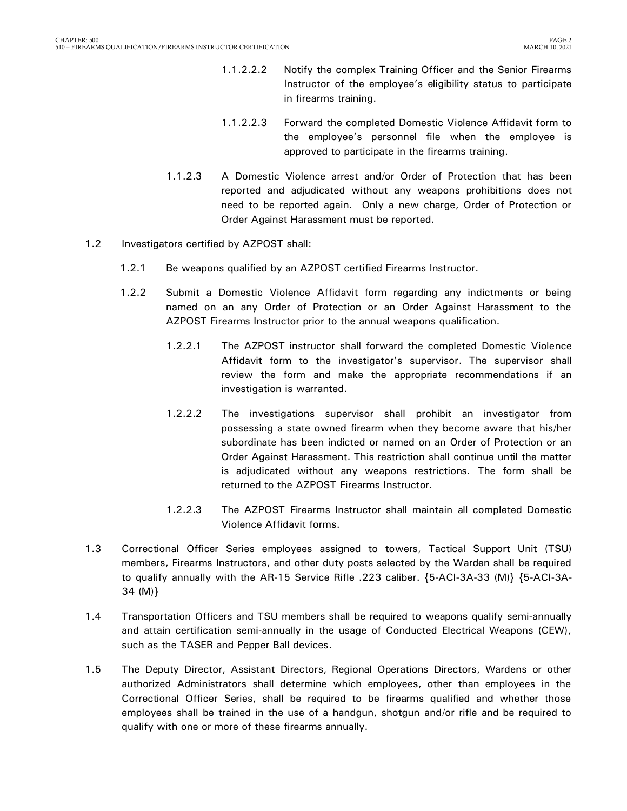- 1.1.2.2.2 Notify the complex Training Officer and the Senior Firearms Instructor of the employee's eligibility status to participate in firearms training.
- 1.1.2.2.3 Forward the completed Domestic Violence Affidavit form to the employee's personnel file when the employee is approved to participate in the firearms training.
- 1.1.2.3 A Domestic Violence arrest and/or Order of Protection that has been reported and adjudicated without any weapons prohibitions does not need to be reported again. Only a new charge, Order of Protection or Order Against Harassment must be reported.
- 1.2 Investigators certified by AZPOST shall:
	- 1.2.1 Be weapons qualified by an AZPOST certified Firearms Instructor.
	- 1.2.2 Submit a Domestic Violence Affidavit form regarding any indictments or being named on an any Order of Protection or an Order Against Harassment to the AZPOST Firearms Instructor prior to the annual weapons qualification.
		- 1.2.2.1 The AZPOST instructor shall forward the completed Domestic Violence Affidavit form to the investigator's supervisor. The supervisor shall review the form and make the appropriate recommendations if an investigation is warranted.
		- 1.2.2.2 The investigations supervisor shall prohibit an investigator from possessing a state owned firearm when they become aware that his/her subordinate has been indicted or named on an Order of Protection or an Order Against Harassment. This restriction shall continue until the matter is adjudicated without any weapons restrictions. The form shall be returned to the AZPOST Firearms Instructor.
		- 1.2.2.3 The AZPOST Firearms Instructor shall maintain all completed Domestic Violence Affidavit forms.
- 1.3 Correctional Officer Series employees assigned to towers, Tactical Support Unit (TSU) members, Firearms Instructors, and other duty posts selected by the Warden shall be required to qualify annually with the AR-15 Service Rifle .223 caliber. {5-ACI-3A-33 (M)} {5-ACI-3A-34 (M)}
- 1.4 Transportation Officers and TSU members shall be required to weapons qualify semi-annually and attain certification semi-annually in the usage of Conducted Electrical Weapons (CEW), such as the TASER and Pepper Ball devices.
- 1.5 The Deputy Director, Assistant Directors, Regional Operations Directors, Wardens or other authorized Administrators shall determine which employees, other than employees in the Correctional Officer Series, shall be required to be firearms qualified and whether those employees shall be trained in the use of a handgun, shotgun and/or rifle and be required to qualify with one or more of these firearms annually.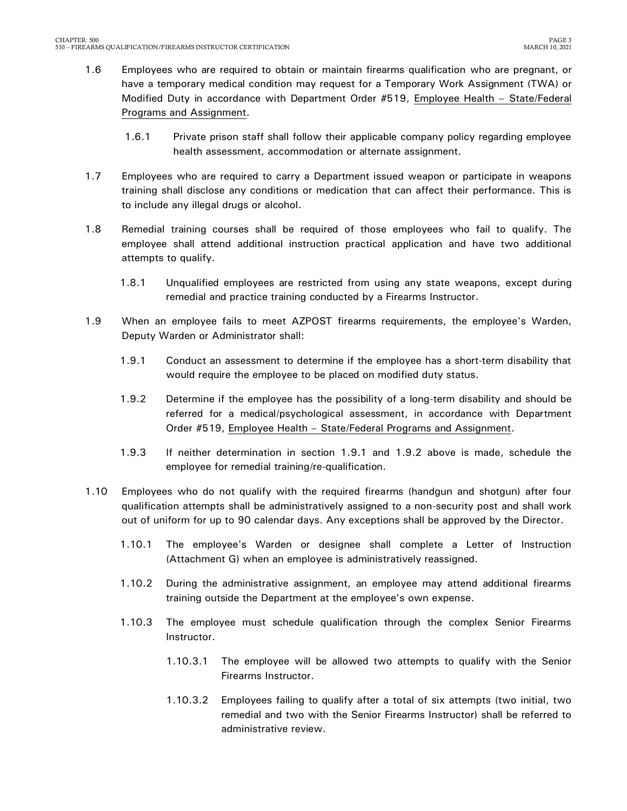- 1.6 Employees who are required to obtain or maintain firearms qualification who are pregnant, or have a temporary medical condition may request for a Temporary Work Assignment (TWA) or Modified Duty in accordance with Department Order #519, Employee Health – State/Federal Programs and Assignment.
	- 1.6.1 Private prison staff shall follow their applicable company policy regarding employee health assessment, accommodation or alternate assignment.
- 1.7 Employees who are required to carry a Department issued weapon or participate in weapons training shall disclose any conditions or medication that can affect their performance. This is to include any illegal drugs or alcohol.
- 1.8 Remedial training courses shall be required of those employees who fail to qualify. The employee shall attend additional instruction practical application and have two additional attempts to qualify.
	- 1.8.1 Unqualified employees are restricted from using any state weapons, except during remedial and practice training conducted by a Firearms Instructor.
- 1.9 When an employee fails to meet AZPOST firearms requirements, the employee's Warden, Deputy Warden or Administrator shall:
	- 1.9.1 Conduct an assessment to determine if the employee has a short-term disability that would require the employee to be placed on modified duty status.
	- 1.9.2 Determine if the employee has the possibility of a long-term disability and should be referred for a medical/psychological assessment, in accordance with Department Order #519, Employee Health – State/Federal Programs and Assignment.
	- 1.9.3 If neither determination in section 1.9.1 and 1.9.2 above is made, schedule the employee for remedial training/re-qualification.
- 1.10 Employees who do not qualify with the required firearms (handgun and shotgun) after four qualification attempts shall be administratively assigned to a non-security post and shall work out of uniform for up to 90 calendar days. Any exceptions shall be approved by the Director.
	- 1.10.1 The employee's Warden or designee shall complete a Letter of Instruction (Attachment G) when an employee is administratively reassigned.
	- 1.10.2 During the administrative assignment, an employee may attend additional firearms training outside the Department at the employee's own expense.
	- 1.10.3 The employee must schedule qualification through the complex Senior Firearms Instructor.
		- 1.10.3.1 The employee will be allowed two attempts to qualify with the Senior Firearms Instructor.
		- 1.10.3.2 Employees failing to qualify after a total of six attempts (two initial, two remedial and two with the Senior Firearms Instructor) shall be referred to administrative review.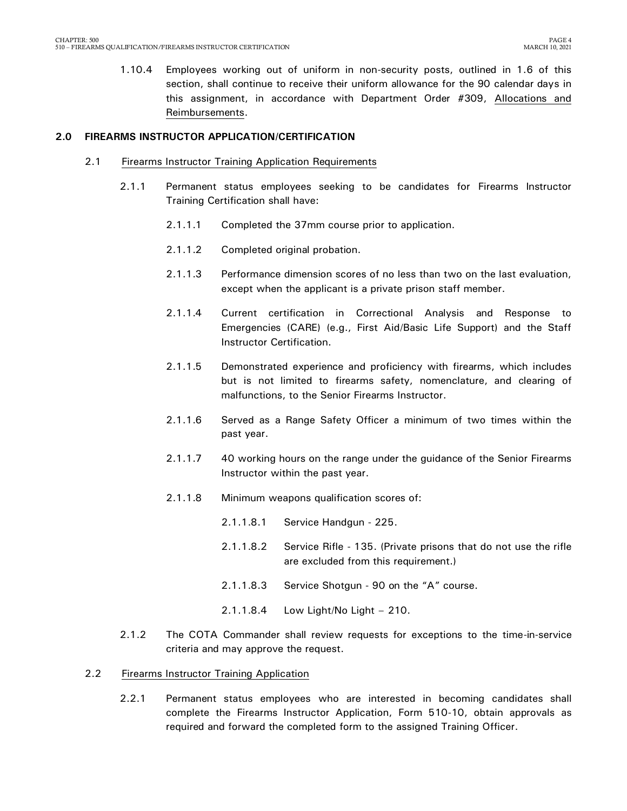1.10.4 Employees working out of uniform in non-security posts, outlined in 1.6 of this section, shall continue to receive their uniform allowance for the 90 calendar days in this assignment, in accordance with Department Order #309, Allocations and Reimbursements.

#### <span id="page-5-0"></span>**2.0 FIREARMS INSTRUCTOR APPLICATION/CERTIFICATION**

- 2.1 Firearms Instructor Training Application Requirements
	- 2.1.1 Permanent status employees seeking to be candidates for Firearms Instructor Training Certification shall have:
		- 2.1.1.1 Completed the 37mm course prior to application.
		- 2.1.1.2 Completed original probation.
		- 2.1.1.3 Performance dimension scores of no less than two on the last evaluation, except when the applicant is a private prison staff member.
		- 2.1.1.4 Current certification in Correctional Analysis and Response to Emergencies (CARE) (e.g., First Aid/Basic Life Support) and the Staff Instructor Certification.
		- 2.1.1.5 Demonstrated experience and proficiency with firearms, which includes but is not limited to firearms safety, nomenclature, and clearing of malfunctions, to the Senior Firearms Instructor.
		- 2.1.1.6 Served as a Range Safety Officer a minimum of two times within the past year.
		- 2.1.1.7 40 working hours on the range under the guidance of the Senior Firearms Instructor within the past year.
		- 2.1.1.8 Minimum weapons qualification scores of:
			- 2.1.1.8.1 Service Handgun 225.
			- 2.1.1.8.2 Service Rifle 135. (Private prisons that do not use the rifle are excluded from this requirement.)
			- 2.1.1.8.3 Service Shotgun 90 on the "A" course.
			- 2.1.1.8.4 Low Light/No Light 210.
	- 2.1.2 The COTA Commander shall review requests for exceptions to the time-in-service criteria and may approve the request.

#### 2.2 Firearms Instructor Training Application

2.2.1 Permanent status employees who are interested in becoming candidates shall complete the Firearms Instructor Application, Form 510-10, obtain approvals as required and forward the completed form to the assigned Training Officer.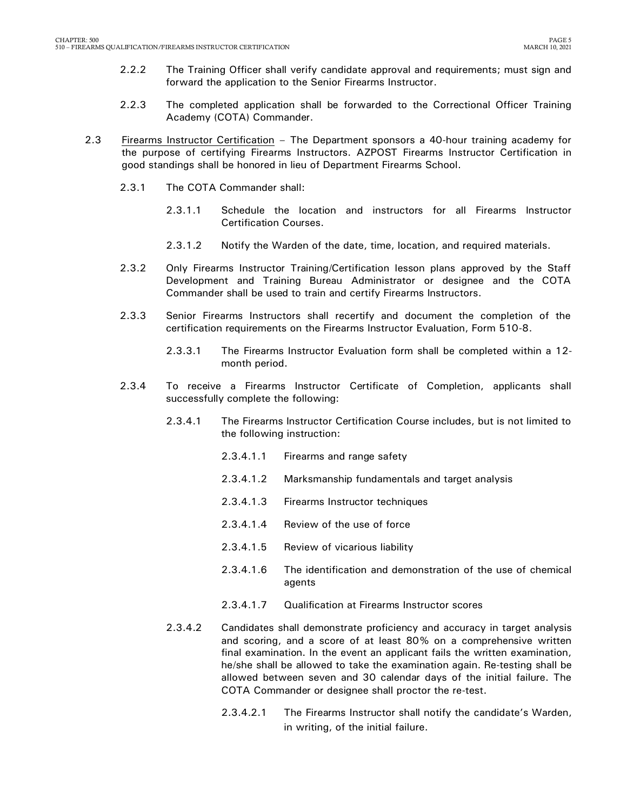- 2.2.2 The Training Officer shall verify candidate approval and requirements; must sign and forward the application to the Senior Firearms Instructor.
- 2.2.3 The completed application shall be forwarded to the Correctional Officer Training Academy (COTA) Commander.
- 2.3 Firearms Instructor Certification The Department sponsors a 40-hour training academy for the purpose of certifying Firearms Instructors. AZPOST Firearms Instructor Certification in good standings shall be honored in lieu of Department Firearms School.
	- 2.3.1 The COTA Commander shall:
		- 2.3.1.1 Schedule the location and instructors for all Firearms Instructor Certification Courses.
		- 2.3.1.2 Notify the Warden of the date, time, location, and required materials.
	- 2.3.2 Only Firearms Instructor Training/Certification lesson plans approved by the Staff Development and Training Bureau Administrator or designee and the COTA Commander shall be used to train and certify Firearms Instructors.
	- 2.3.3 Senior Firearms Instructors shall recertify and document the completion of the certification requirements on the Firearms Instructor Evaluation, Form 510-8.
		- 2.3.3.1 The Firearms Instructor Evaluation form shall be completed within a 12 month period.
	- 2.3.4 To receive a Firearms Instructor Certificate of Completion, applicants shall successfully complete the following:
		- 2.3.4.1 The Firearms Instructor Certification Course includes, but is not limited to the following instruction:
			- 2.3.4.1.1 Firearms and range safety
			- 2.3.4.1.2 Marksmanship fundamentals and target analysis
			- 2.3.4.1.3 Firearms Instructor techniques
			- 2.3.4.1.4 Review of the use of force
			- 2.3.4.1.5 Review of vicarious liability
			- 2.3.4.1.6 The identification and demonstration of the use of chemical agents
			- 2.3.4.1.7 Qualification at Firearms Instructor scores
		- 2.3.4.2 Candidates shall demonstrate proficiency and accuracy in target analysis and scoring, and a score of at least 80% on a comprehensive written final examination. In the event an applicant fails the written examination, he/she shall be allowed to take the examination again. Re-testing shall be allowed between seven and 30 calendar days of the initial failure. The COTA Commander or designee shall proctor the re-test.
			- 2.3.4.2.1 The Firearms Instructor shall notify the candidate's Warden, in writing, of the initial failure.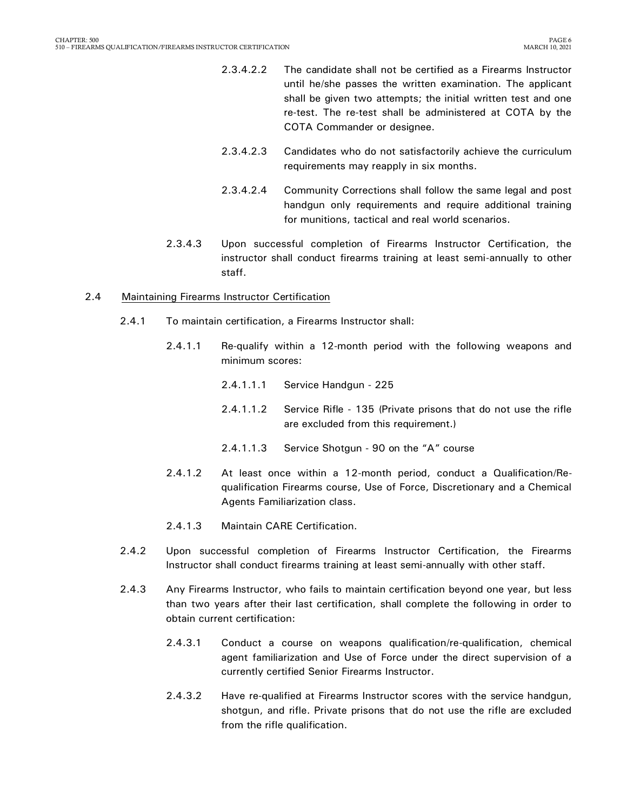- 2.3.4.2.2 The candidate shall not be certified as a Firearms Instructor until he/she passes the written examination. The applicant shall be given two attempts; the initial written test and one re-test. The re-test shall be administered at COTA by the COTA Commander or designee.
- 2.3.4.2.3 Candidates who do not satisfactorily achieve the curriculum requirements may reapply in six months.
- 2.3.4.2.4 Community Corrections shall follow the same legal and post handgun only requirements and require additional training for munitions, tactical and real world scenarios.
- 2.3.4.3 Upon successful completion of Firearms Instructor Certification, the instructor shall conduct firearms training at least semi-annually to other staff.

#### 2.4 Maintaining Firearms Instructor Certification

- 2.4.1 To maintain certification, a Firearms Instructor shall:
	- 2.4.1.1 Re-qualify within a 12-month period with the following weapons and minimum scores:
		- 2.4.1.1.1 Service Handgun 225
		- 2.4.1.1.2 Service Rifle 135 (Private prisons that do not use the rifle are excluded from this requirement.)
		- 2.4.1.1.3 Service Shotgun 90 on the "A" course
	- 2.4.1.2 At least once within a 12-month period, conduct a Qualification/Requalification Firearms course, Use of Force, Discretionary and a Chemical Agents Familiarization class.
	- 2.4.1.3 Maintain CARE Certification.
- 2.4.2 Upon successful completion of Firearms Instructor Certification, the Firearms Instructor shall conduct firearms training at least semi-annually with other staff.
- 2.4.3 Any Firearms Instructor, who fails to maintain certification beyond one year, but less than two years after their last certification, shall complete the following in order to obtain current certification:
	- 2.4.3.1 Conduct a course on weapons qualification/re-qualification, chemical agent familiarization and Use of Force under the direct supervision of a currently certified Senior Firearms Instructor.
	- 2.4.3.2 Have re-qualified at Firearms Instructor scores with the service handgun, shotgun, and rifle. Private prisons that do not use the rifle are excluded from the rifle qualification.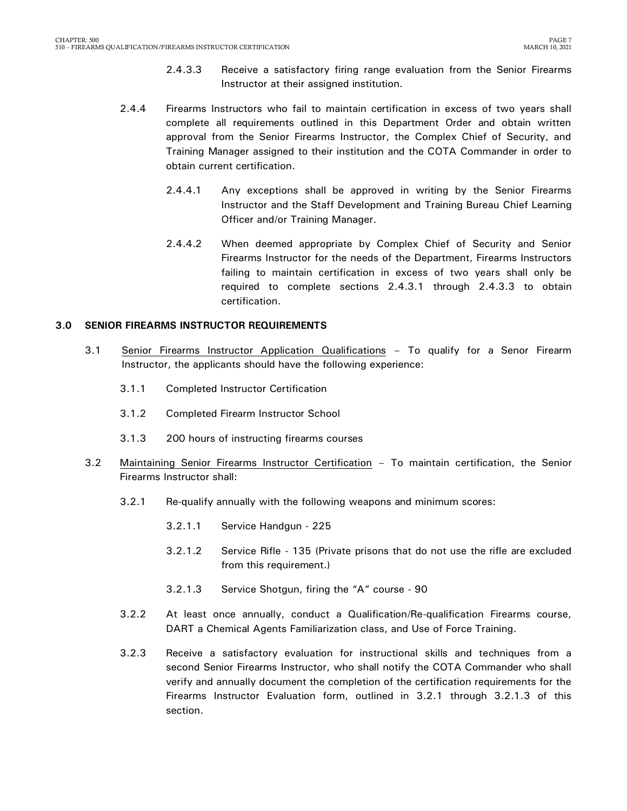- 2.4.3.3 Receive a satisfactory firing range evaluation from the Senior Firearms Instructor at their assigned institution.
- 2.4.4 Firearms Instructors who fail to maintain certification in excess of two years shall complete all requirements outlined in this Department Order and obtain written approval from the Senior Firearms Instructor, the Complex Chief of Security, and Training Manager assigned to their institution and the COTA Commander in order to obtain current certification.
	- 2.4.4.1 Any exceptions shall be approved in writing by the Senior Firearms Instructor and the Staff Development and Training Bureau Chief Learning Officer and/or Training Manager.
	- 2.4.4.2 When deemed appropriate by Complex Chief of Security and Senior Firearms Instructor for the needs of the Department, Firearms Instructors failing to maintain certification in excess of two years shall only be required to complete sections 2.4.3.1 through 2.4.3.3 to obtain certification.

#### <span id="page-8-0"></span>**3.0 SENIOR FIREARMS INSTRUCTOR REQUIREMENTS**

- 3.1 Senior Firearms Instructor Application Qualifications To qualify for a Senor Firearm Instructor, the applicants should have the following experience:
	- 3.1.1 Completed Instructor Certification
	- 3.1.2 Completed Firearm Instructor School
	- 3.1.3 200 hours of instructing firearms courses
- 3.2 Maintaining Senior Firearms Instructor Certification To maintain certification, the Senior Firearms Instructor shall:
	- 3.2.1 Re-qualify annually with the following weapons and minimum scores:
		- 3.2.1.1 Service Handgun 225
		- 3.2.1.2 Service Rifle 135 (Private prisons that do not use the rifle are excluded from this requirement.)
		- 3.2.1.3 Service Shotgun, firing the "A" course 90
	- 3.2.2 At least once annually, conduct a Qualification/Re-qualification Firearms course, DART a Chemical Agents Familiarization class, and Use of Force Training.
	- 3.2.3 Receive a satisfactory evaluation for instructional skills and techniques from a second Senior Firearms Instructor, who shall notify the COTA Commander who shall verify and annually document the completion of the certification requirements for the Firearms Instructor Evaluation form, outlined in 3.2.1 through 3.2.1.3 of this section.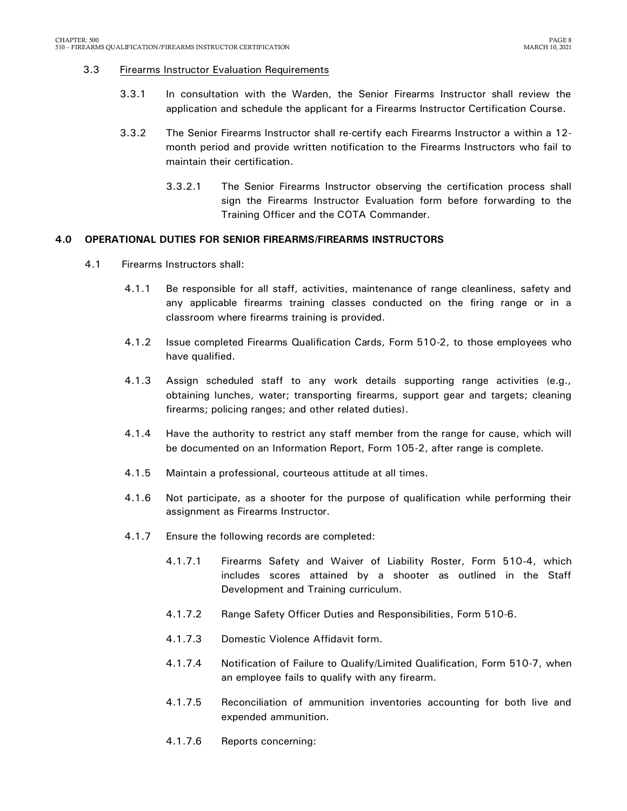#### 3.3 Firearms Instructor Evaluation Requirements

- 3.3.1 In consultation with the Warden, the Senior Firearms Instructor shall review the application and schedule the applicant for a Firearms Instructor Certification Course.
- 3.3.2 The Senior Firearms Instructor shall re-certify each Firearms Instructor a within a 12 month period and provide written notification to the Firearms Instructors who fail to maintain their certification.
	- 3.3.2.1 The Senior Firearms Instructor observing the certification process shall sign the Firearms Instructor Evaluation form before forwarding to the Training Officer and the COTA Commander.

#### <span id="page-9-0"></span>**4.0 OPERATIONAL DUTIES FOR SENIOR FIREARMS/FIREARMS INSTRUCTORS**

- 4.1 Firearms Instructors shall:
	- 4.1.1 Be responsible for all staff, activities, maintenance of range cleanliness, safety and any applicable firearms training classes conducted on the firing range or in a classroom where firearms training is provided.
	- 4.1.2 Issue completed Firearms Qualification Cards, Form 510-2, to those employees who have qualified.
	- 4.1.3 Assign scheduled staff to any work details supporting range activities (e.g., obtaining lunches, water; transporting firearms, support gear and targets; cleaning firearms; policing ranges; and other related duties).
	- 4.1.4 Have the authority to restrict any staff member from the range for cause, which will be documented on an Information Report, Form 105-2, after range is complete.
	- 4.1.5 Maintain a professional, courteous attitude at all times.
	- 4.1.6 Not participate, as a shooter for the purpose of qualification while performing their assignment as Firearms Instructor.
	- 4.1.7 Ensure the following records are completed:
		- 4.1.7.1 Firearms Safety and Waiver of Liability Roster, Form 510-4, which includes scores attained by a shooter as outlined in the Staff Development and Training curriculum.
		- 4.1.7.2 Range Safety Officer Duties and Responsibilities, Form 510-6.
		- 4.1.7.3 Domestic Violence Affidavit form.
		- 4.1.7.4 Notification of Failure to Qualify/Limited Qualification, Form 510-7, when an employee fails to qualify with any firearm.
		- 4.1.7.5 Reconciliation of ammunition inventories accounting for both live and expended ammunition.
		- 4.1.7.6 Reports concerning: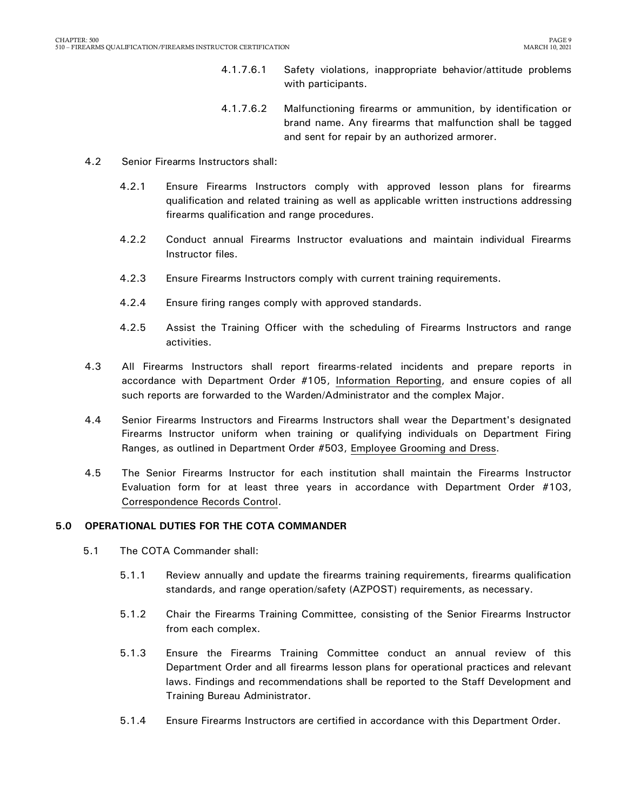- 4.1.7.6.1 Safety violations, inappropriate behavior/attitude problems with participants.
- 4.1.7.6.2 Malfunctioning firearms or ammunition, by identification or brand name. Any firearms that malfunction shall be tagged and sent for repair by an authorized armorer.
- 4.2 Senior Firearms Instructors shall:
	- 4.2.1 Ensure Firearms Instructors comply with approved lesson plans for firearms qualification and related training as well as applicable written instructions addressing firearms qualification and range procedures.
	- 4.2.2 Conduct annual Firearms Instructor evaluations and maintain individual Firearms Instructor files.
	- 4.2.3 Ensure Firearms Instructors comply with current training requirements.
	- 4.2.4 Ensure firing ranges comply with approved standards.
	- 4.2.5 Assist the Training Officer with the scheduling of Firearms Instructors and range activities.
- 4.3 All Firearms Instructors shall report firearms-related incidents and prepare reports in accordance with Department Order #105, Information Reporting, and ensure copies of all such reports are forwarded to the Warden/Administrator and the complex Major.
- 4.4 Senior Firearms Instructors and Firearms Instructors shall wear the Department's designated Firearms Instructor uniform when training or qualifying individuals on Department Firing Ranges, as outlined in Department Order #503, Employee Grooming and Dress.
- 4.5 The Senior Firearms Instructor for each institution shall maintain the Firearms Instructor Evaluation form for at least three years in accordance with Department Order #103, Correspondence Records Control.

#### <span id="page-10-0"></span>**5.0 OPERATIONAL DUTIES FOR THE COTA COMMANDER**

- 5.1 The COTA Commander shall:
	- 5.1.1 Review annually and update the firearms training requirements, firearms qualification standards, and range operation/safety (AZPOST) requirements, as necessary.
	- 5.1.2 Chair the Firearms Training Committee, consisting of the Senior Firearms Instructor from each complex.
	- 5.1.3 Ensure the Firearms Training Committee conduct an annual review of this Department Order and all firearms lesson plans for operational practices and relevant laws. Findings and recommendations shall be reported to the Staff Development and Training Bureau Administrator.
	- 5.1.4 Ensure Firearms Instructors are certified in accordance with this Department Order.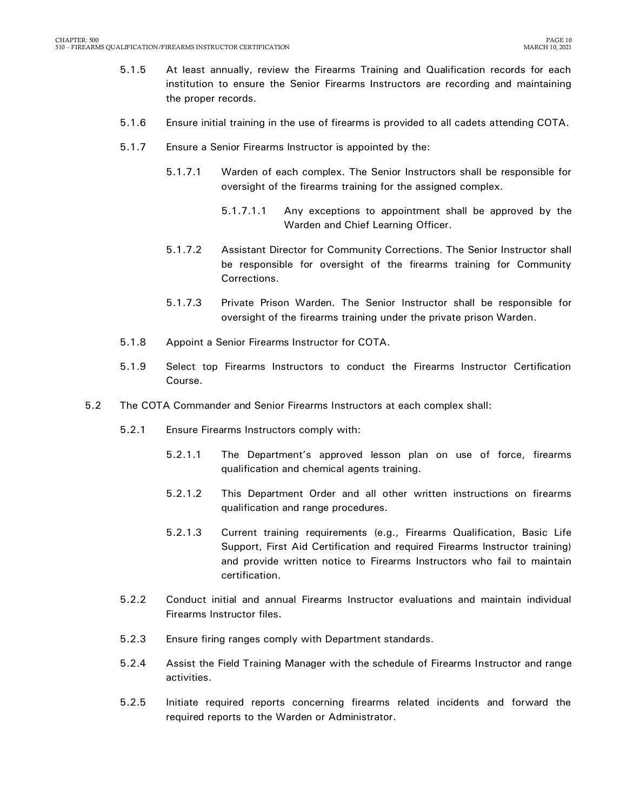- 5.1.5 At least annually, review the Firearms Training and Qualification records for each institution to ensure the Senior Firearms Instructors are recording and maintaining the proper records.
- 5.1.6 Ensure initial training in the use of firearms is provided to all cadets attending COTA.
- 5.1.7 Ensure a Senior Firearms Instructor is appointed by the:
	- 5.1.7.1 Warden of each complex. The Senior Instructors shall be responsible for oversight of the firearms training for the assigned complex.
		- 5.1.7.1.1 Any exceptions to appointment shall be approved by the Warden and Chief Learning Officer.
	- 5.1.7.2 Assistant Director for Community Corrections. The Senior Instructor shall be responsible for oversight of the firearms training for Community Corrections.
	- 5.1.7.3 Private Prison Warden. The Senior Instructor shall be responsible for oversight of the firearms training under the private prison Warden.
- 5.1.8 Appoint a Senior Firearms Instructor for COTA.
- 5.1.9 Select top Firearms Instructors to conduct the Firearms Instructor Certification Course.
- 5.2 The COTA Commander and Senior Firearms Instructors at each complex shall:
	- 5.2.1 Ensure Firearms Instructors comply with:
		- 5.2.1.1 The Department's approved lesson plan on use of force, firearms qualification and chemical agents training.
		- 5.2.1.2 This Department Order and all other written instructions on firearms qualification and range procedures.
		- 5.2.1.3 Current training requirements (e.g., Firearms Qualification, Basic Life Support, First Aid Certification and required Firearms Instructor training) and provide written notice to Firearms Instructors who fail to maintain certification.
	- 5.2.2 Conduct initial and annual Firearms Instructor evaluations and maintain individual Firearms Instructor files.
	- 5.2.3 Ensure firing ranges comply with Department standards.
	- 5.2.4 Assist the Field Training Manager with the schedule of Firearms Instructor and range activities.
	- 5.2.5 Initiate required reports concerning firearms related incidents and forward the required reports to the Warden or Administrator.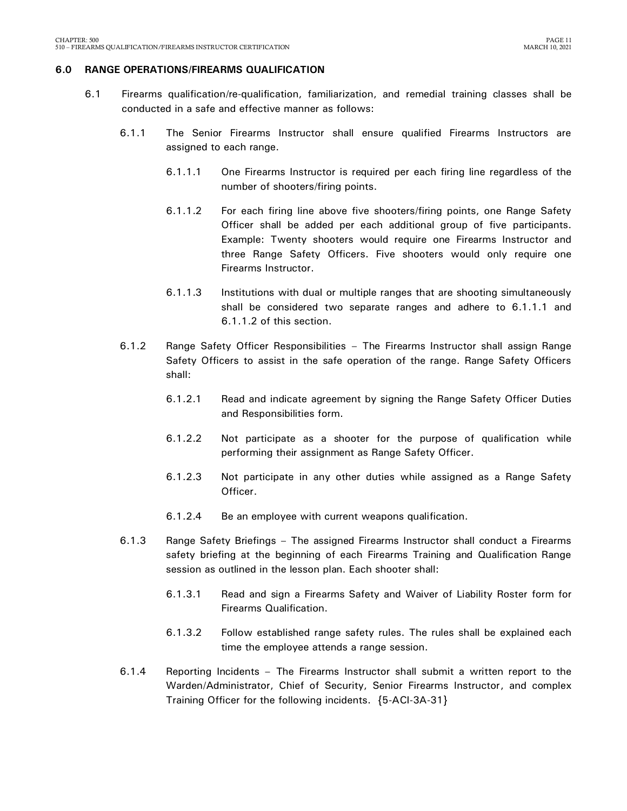#### <span id="page-12-0"></span>**6.0 RANGE OPERATIONS/FIREARMS QUALIFICATION**

- 6.1 Firearms qualification/re-qualification, familiarization, and remedial training classes shall be conducted in a safe and effective manner as follows:
	- 6.1.1 The Senior Firearms Instructor shall ensure qualified Firearms Instructors are assigned to each range.
		- 6.1.1.1 One Firearms Instructor is required per each firing line regardless of the number of shooters/firing points.
		- 6.1.1.2 For each firing line above five shooters/firing points, one Range Safety Officer shall be added per each additional group of five participants. Example: Twenty shooters would require one Firearms Instructor and three Range Safety Officers. Five shooters would only require one Firearms Instructor.
		- 6.1.1.3 Institutions with dual or multiple ranges that are shooting simultaneously shall be considered two separate ranges and adhere to 6.1.1.1 and 6.1.1.2 of this section.
	- 6.1.2 Range Safety Officer Responsibilities The Firearms Instructor shall assign Range Safety Officers to assist in the safe operation of the range. Range Safety Officers shall:
		- 6.1.2.1 Read and indicate agreement by signing the Range Safety Officer Duties and Responsibilities form.
		- 6.1.2.2 Not participate as a shooter for the purpose of qualification while performing their assignment as Range Safety Officer.
		- 6.1.2.3 Not participate in any other duties while assigned as a Range Safety Officer.
		- 6.1.2.4 Be an employee with current weapons qualification.
	- 6.1.3 Range Safety Briefings The assigned Firearms Instructor shall conduct a Firearms safety briefing at the beginning of each Firearms Training and Qualification Range session as outlined in the lesson plan. Each shooter shall:
		- 6.1.3.1 Read and sign a Firearms Safety and Waiver of Liability Roster form for Firearms Qualification.
		- 6.1.3.2 Follow established range safety rules. The rules shall be explained each time the employee attends a range session.
	- 6.1.4 Reporting Incidents The Firearms Instructor shall submit a written report to the Warden/Administrator, Chief of Security, Senior Firearms Instructor, and complex Training Officer for the following incidents. {5-ACI-3A-31}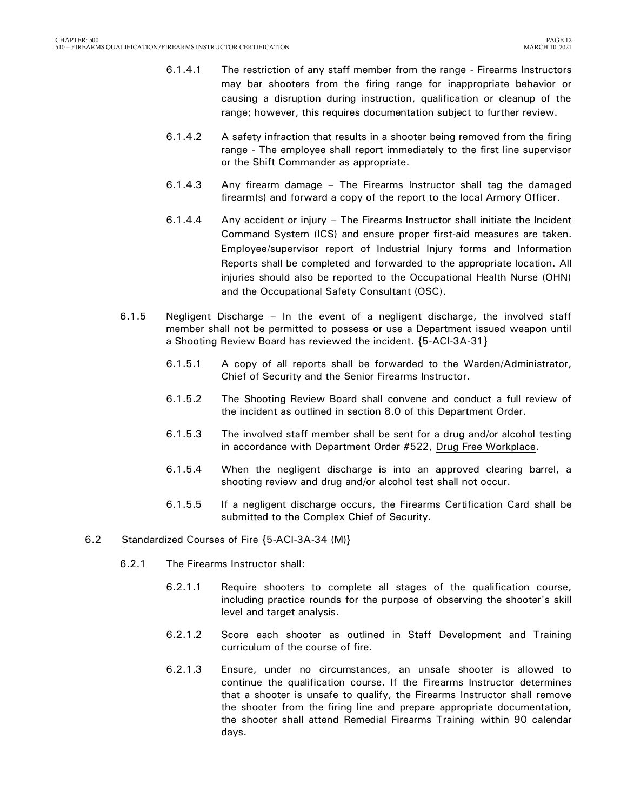- 6.1.4.1 The restriction of any staff member from the range Firearms Instructors may bar shooters from the firing range for inappropriate behavior or causing a disruption during instruction, qualification or cleanup of the range; however, this requires documentation subject to further review.
- 6.1.4.2 A safety infraction that results in a shooter being removed from the firing range - The employee shall report immediately to the first line supervisor or the Shift Commander as appropriate.
- 6.1.4.3 Any firearm damage The Firearms Instructor shall tag the damaged firearm(s) and forward a copy of the report to the local Armory Officer.
- 6.1.4.4 Any accident or injury The Firearms Instructor shall initiate the Incident Command System (ICS) and ensure proper first-aid measures are taken. Employee/supervisor report of Industrial Injury forms and Information Reports shall be completed and forwarded to the appropriate location. All injuries should also be reported to the Occupational Health Nurse (OHN) and the Occupational Safety Consultant (OSC).
- 6.1.5 Negligent Discharge In the event of a negligent discharge, the involved staff member shall not be permitted to possess or use a Department issued weapon until a Shooting Review Board has reviewed the incident. {5-ACI-3A-31}
	- 6.1.5.1 A copy of all reports shall be forwarded to the Warden/Administrator, Chief of Security and the Senior Firearms Instructor.
	- 6.1.5.2 The Shooting Review Board shall convene and conduct a full review of the incident as outlined in section 8.0 of this Department Order.
	- 6.1.5.3 The involved staff member shall be sent for a drug and/or alcohol testing in accordance with Department Order #522, Drug Free Workplace.
	- 6.1.5.4 When the negligent discharge is into an approved clearing barrel, a shooting review and drug and/or alcohol test shall not occur.
	- 6.1.5.5 If a negligent discharge occurs, the Firearms Certification Card shall be submitted to the Complex Chief of Security.

#### 6.2 Standardized Courses of Fire {5-ACI-3A-34 (M)}

- 6.2.1 The Firearms Instructor shall:
	- 6.2.1.1 Require shooters to complete all stages of the qualification course, including practice rounds for the purpose of observing the shooter's skill level and target analysis.
	- 6.2.1.2 Score each shooter as outlined in Staff Development and Training curriculum of the course of fire.
	- 6.2.1.3 Ensure, under no circumstances, an unsafe shooter is allowed to continue the qualification course. If the Firearms Instructor determines that a shooter is unsafe to qualify, the Firearms Instructor shall remove the shooter from the firing line and prepare appropriate documentation, the shooter shall attend Remedial Firearms Training within 90 calendar days.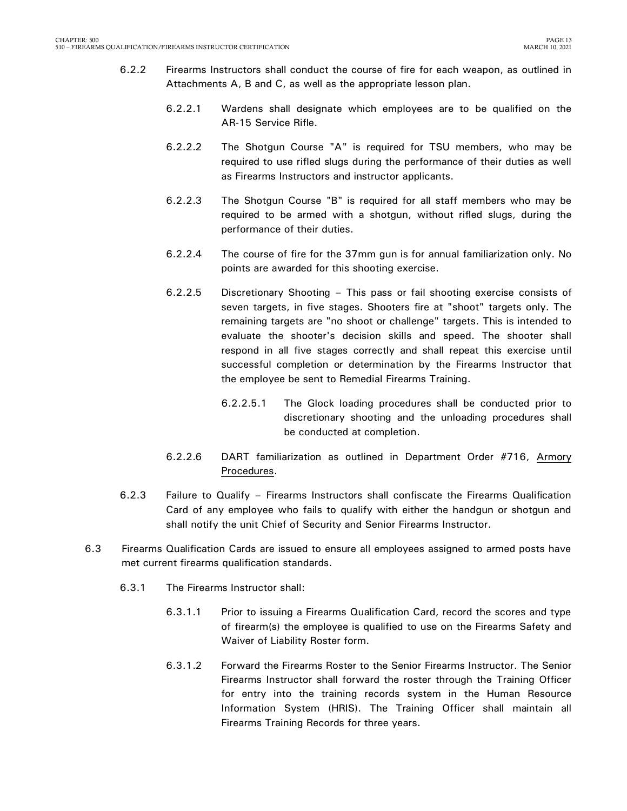- 6.2.2 Firearms Instructors shall conduct the course of fire for each weapon, as outlined in Attachments A, B and C, as well as the appropriate lesson plan.
	- 6.2.2.1 Wardens shall designate which employees are to be qualified on the AR-15 Service Rifle.
	- 6.2.2.2 The Shotgun Course "A" is required for TSU members, who may be required to use rifled slugs during the performance of their duties as well as Firearms Instructors and instructor applicants.
	- 6.2.2.3 The Shotgun Course "B" is required for all staff members who may be required to be armed with a shotgun, without rifled slugs, during the performance of their duties.
	- 6.2.2.4 The course of fire for the 37mm gun is for annual familiarization only. No points are awarded for this shooting exercise.
	- 6.2.2.5 Discretionary Shooting This pass or fail shooting exercise consists of seven targets, in five stages. Shooters fire at "shoot" targets only. The remaining targets are "no shoot or challenge" targets. This is intended to evaluate the shooter's decision skills and speed. The shooter shall respond in all five stages correctly and shall repeat this exercise until successful completion or determination by the Firearms Instructor that the employee be sent to Remedial Firearms Training.
		- 6.2.2.5.1 The Glock loading procedures shall be conducted prior to discretionary shooting and the unloading procedures shall be conducted at completion.
	- 6.2.2.6 DART familiarization as outlined in Department Order #716, Armory Procedures.
- 6.2.3 Failure to Qualify Firearms Instructors shall confiscate the Firearms Qualification Card of any employee who fails to qualify with either the handgun or shotgun and shall notify the unit Chief of Security and Senior Firearms Instructor.
- 6.3 Firearms Qualification Cards are issued to ensure all employees assigned to armed posts have met current firearms qualification standards.
	- 6.3.1 The Firearms Instructor shall:
		- 6.3.1.1 Prior to issuing a Firearms Qualification Card, record the scores and type of firearm(s) the employee is qualified to use on the Firearms Safety and Waiver of Liability Roster form.
		- 6.3.1.2 Forward the Firearms Roster to the Senior Firearms Instructor. The Senior Firearms Instructor shall forward the roster through the Training Officer for entry into the training records system in the Human Resource Information System (HRIS). The Training Officer shall maintain all Firearms Training Records for three years.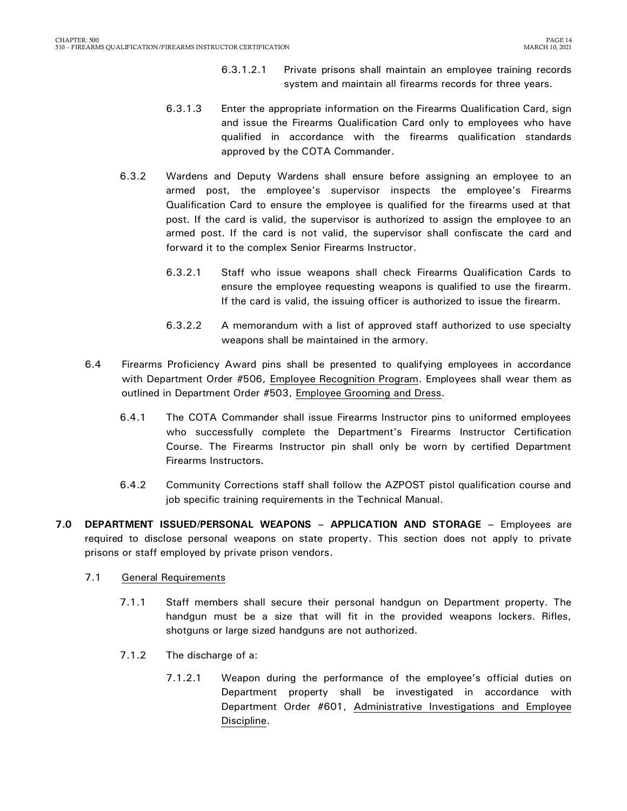- 6.3.1.2.1 Private prisons shall maintain an employee training records system and maintain all firearms records for three years.
- 6.3.1.3 Enter the appropriate information on the Firearms Qualification Card, sign and issue the Firearms Qualification Card only to employees who have qualified in accordance with the firearms qualification standards approved by the COTA Commander.
- 6.3.2 Wardens and Deputy Wardens shall ensure before assigning an employee to an armed post, the employee's supervisor inspects the employee's Firearms Qualification Card to ensure the employee is qualified for the firearms used at that post. If the card is valid, the supervisor is authorized to assign the employee to an armed post. If the card is not valid, the supervisor shall confiscate the card and forward it to the complex Senior Firearms Instructor.
	- 6.3.2.1 Staff who issue weapons shall check Firearms Qualification Cards to ensure the employee requesting weapons is qualified to use the firearm. If the card is valid, the issuing officer is authorized to issue the firearm.
	- 6.3.2.2 A memorandum with a list of approved staff authorized to use specialty weapons shall be maintained in the armory.
- 6.4 Firearms Proficiency Award pins shall be presented to qualifying employees in accordance with Department Order #506, Employee Recognition Program. Employees shall wear them as outlined in Department Order #503, Employee Grooming and Dress.
	- 6.4.1 The COTA Commander shall issue Firearms Instructor pins to uniformed employees who successfully complete the Department's Firearms Instructor Certification Course. The Firearms Instructor pin shall only be worn by certified Department Firearms Instructors.
	- 6.4.2 Community Corrections staff shall follow the AZPOST pistol qualification course and job specific training requirements in the Technical Manual.
- <span id="page-15-0"></span>**7.0 DEPARTMENT ISSUED/PERSONAL WEAPONS – APPLICATION AND STORAGE –** Employees are required to disclose personal weapons on state property. This section does not apply to private prisons or staff employed by private prison vendors.
	- 7.1 General Requirements
		- 7.1.1 Staff members shall secure their personal handgun on Department property. The handgun must be a size that will fit in the provided weapons lockers. Rifles, shotguns or large sized handguns are not authorized.
		- 7.1.2 The discharge of a:
			- 7.1.2.1 Weapon during the performance of the employee's official duties on Department property shall be investigated in accordance with Department Order #601, Administrative Investigations and Employee Discipline.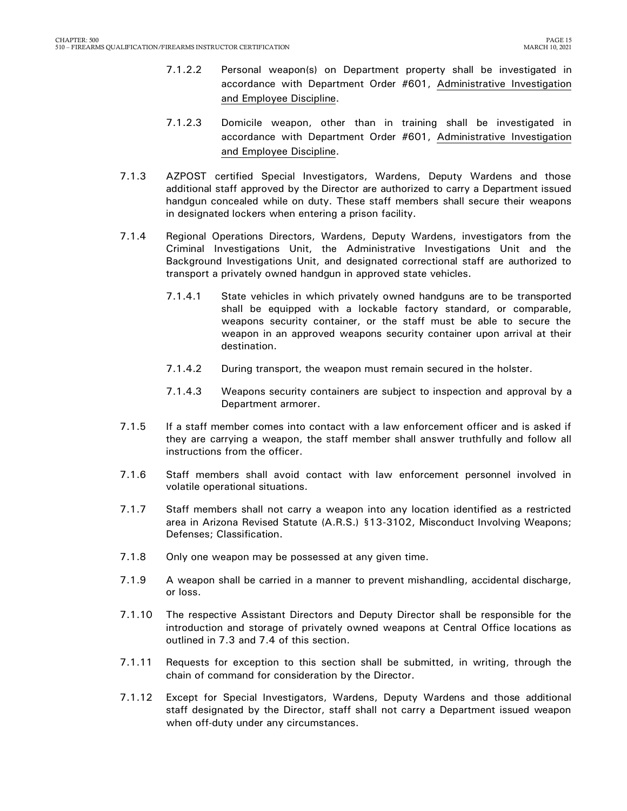- 7.1.2.2 Personal weapon(s) on Department property shall be investigated in accordance with Department Order #601, Administrative Investigation and Employee Discipline.
- 7.1.2.3 Domicile weapon, other than in training shall be investigated in accordance with Department Order #601, Administrative Investigation and Employee Discipline.
- 7.1.3 AZPOST certified Special Investigators, Wardens, Deputy Wardens and those additional staff approved by the Director are authorized to carry a Department issued handgun concealed while on duty. These staff members shall secure their weapons in designated lockers when entering a prison facility.
- 7.1.4 Regional Operations Directors, Wardens, Deputy Wardens, investigators from the Criminal Investigations Unit, the Administrative Investigations Unit and the Background Investigations Unit, and designated correctional staff are authorized to transport a privately owned handgun in approved state vehicles.
	- 7.1.4.1 State vehicles in which privately owned handguns are to be transported shall be equipped with a lockable factory standard, or comparable, weapons security container, or the staff must be able to secure the weapon in an approved weapons security container upon arrival at their destination.
	- 7.1.4.2 During transport, the weapon must remain secured in the holster.
	- 7.1.4.3 Weapons security containers are subject to inspection and approval by a Department armorer.
- 7.1.5 If a staff member comes into contact with a law enforcement officer and is asked if they are carrying a weapon, the staff member shall answer truthfully and follow all instructions from the officer.
- 7.1.6 Staff members shall avoid contact with law enforcement personnel involved in volatile operational situations.
- 7.1.7 Staff members shall not carry a weapon into any location identified as a restricted area in Arizona Revised Statute (A.R.S.) §13-3102, Misconduct Involving Weapons; Defenses; Classification.
- 7.1.8 Only one weapon may be possessed at any given time.
- 7.1.9 A weapon shall be carried in a manner to prevent mishandling, accidental discharge, or loss.
- 7.1.10 The respective Assistant Directors and Deputy Director shall be responsible for the introduction and storage of privately owned weapons at Central Office locations as outlined in 7.3 and 7.4 of this section.
- 7.1.11 Requests for exception to this section shall be submitted, in writing, through the chain of command for consideration by the Director.
- 7.1.12 Except for Special Investigators, Wardens, Deputy Wardens and those additional staff designated by the Director, staff shall not carry a Department issued weapon when off-duty under any circumstances.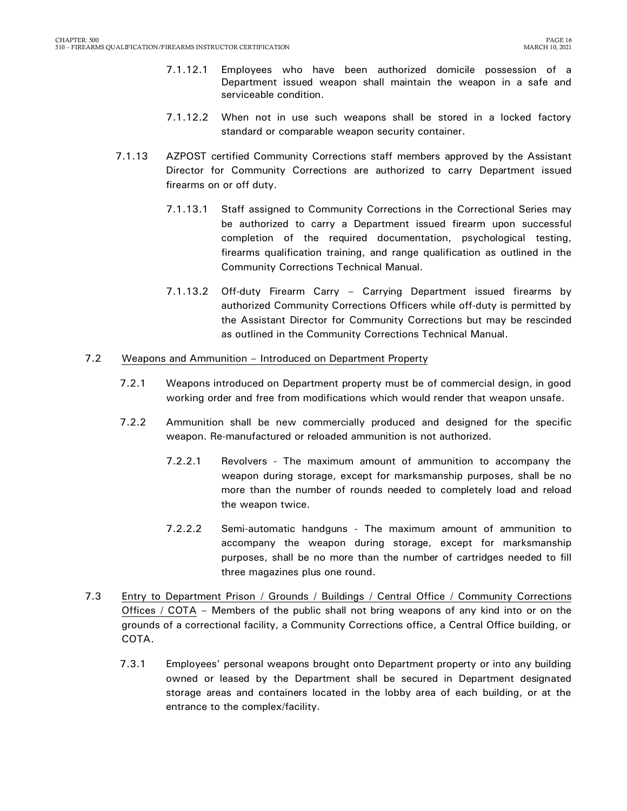- 7.1.12.1 Employees who have been authorized domicile possession of a Department issued weapon shall maintain the weapon in a safe and serviceable condition.
- 7.1.12.2 When not in use such weapons shall be stored in a locked factory standard or comparable weapon security container.
- 7.1.13 AZPOST certified Community Corrections staff members approved by the Assistant Director for Community Corrections are authorized to carry Department issued firearms on or off duty.
	- 7.1.13.1 Staff assigned to Community Corrections in the Correctional Series may be authorized to carry a Department issued firearm upon successful completion of the required documentation, psychological testing, firearms qualification training, and range qualification as outlined in the Community Corrections Technical Manual.
	- 7.1.13.2 Off-duty Firearm Carry Carrying Department issued firearms by authorized Community Corrections Officers while off-duty is permitted by the Assistant Director for Community Corrections but may be rescinded as outlined in the Community Corrections Technical Manual.

#### 7.2 Weapons and Ammunition – Introduced on Department Property

- 7.2.1 Weapons introduced on Department property must be of commercial design, in good working order and free from modifications which would render that weapon unsafe.
- 7.2.2 Ammunition shall be new commercially produced and designed for the specific weapon. Re-manufactured or reloaded ammunition is not authorized.
	- 7.2.2.1 Revolvers The maximum amount of ammunition to accompany the weapon during storage, except for marksmanship purposes, shall be no more than the number of rounds needed to completely load and reload the weapon twice.
	- 7.2.2.2 Semi-automatic handguns The maximum amount of ammunition to accompany the weapon during storage, except for marksmanship purposes, shall be no more than the number of cartridges needed to fill three magazines plus one round.
- 7.3 Entry to Department Prison / Grounds / Buildings / Central Office / Community Corrections Offices / COTA – Members of the public shall not bring weapons of any kind into or on the grounds of a correctional facility, a Community Corrections office, a Central Office building, or COTA.
	- 7.3.1 Employees' personal weapons brought onto Department property or into any building owned or leased by the Department shall be secured in Department designated storage areas and containers located in the lobby area of each building, or at the entrance to the complex/facility.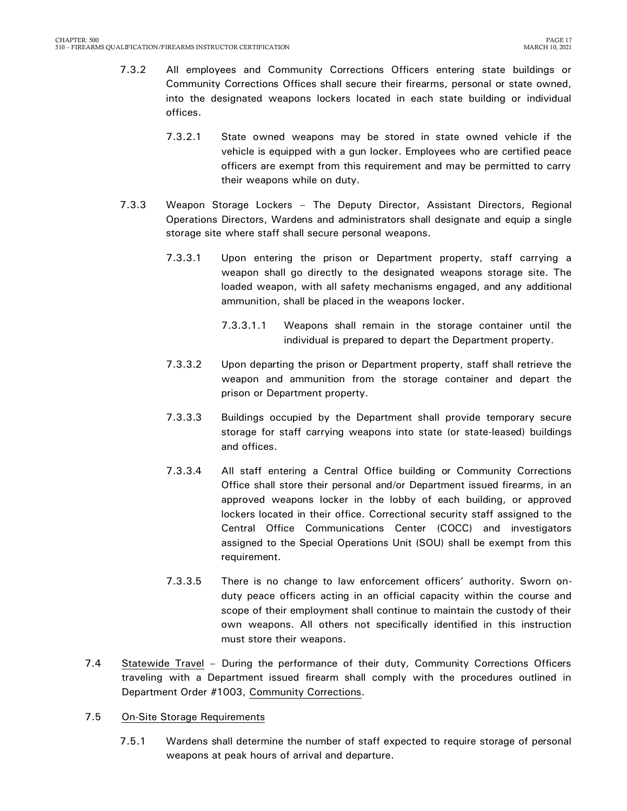- 7.3.2 All employees and Community Corrections Officers entering state buildings or Community Corrections Offices shall secure their firearms, personal or state owned, into the designated weapons lockers located in each state building or individual offices.
	- 7.3.2.1 State owned weapons may be stored in state owned vehicle if the vehicle is equipped with a gun locker. Employees who are certified peace officers are exempt from this requirement and may be permitted to carry their weapons while on duty.
- 7.3.3 Weapon Storage Lockers The Deputy Director, Assistant Directors, Regional Operations Directors, Wardens and administrators shall designate and equip a single storage site where staff shall secure personal weapons.
	- 7.3.3.1 Upon entering the prison or Department property, staff carrying a weapon shall go directly to the designated weapons storage site. The loaded weapon, with all safety mechanisms engaged, and any additional ammunition, shall be placed in the weapons locker.
		- 7.3.3.1.1 Weapons shall remain in the storage container until the individual is prepared to depart the Department property.
	- 7.3.3.2 Upon departing the prison or Department property, staff shall retrieve the weapon and ammunition from the storage container and depart the prison or Department property.
	- 7.3.3.3 Buildings occupied by the Department shall provide temporary secure storage for staff carrying weapons into state (or state-leased) buildings and offices.
	- 7.3.3.4 All staff entering a Central Office building or Community Corrections Office shall store their personal and/or Department issued firearms, in an approved weapons locker in the lobby of each building, or approved lockers located in their office. Correctional security staff assigned to the Central Office Communications Center (COCC) and investigators assigned to the Special Operations Unit (SOU) shall be exempt from this requirement.
	- 7.3.3.5 There is no change to law enforcement officers' authority. Sworn onduty peace officers acting in an official capacity within the course and scope of their employment shall continue to maintain the custody of their own weapons. All others not specifically identified in this instruction must store their weapons.
- 7.4 Statewide Travel During the performance of their duty, Community Corrections Officers traveling with a Department issued firearm shall comply with the procedures outlined in Department Order #1003, Community Corrections.
- 7.5 On-Site Storage Requirements
	- 7.5.1 Wardens shall determine the number of staff expected to require storage of personal weapons at peak hours of arrival and departure.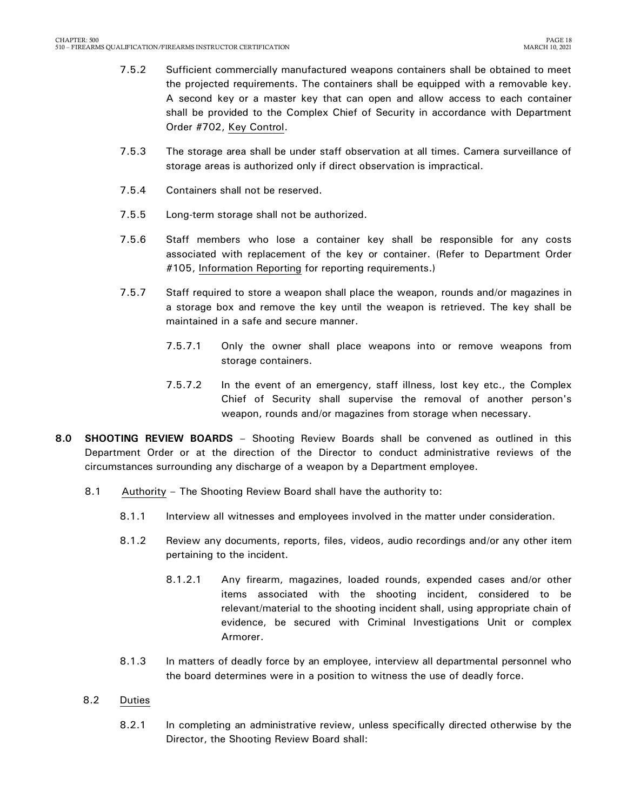- 7.5.2 Sufficient commercially manufactured weapons containers shall be obtained to meet the projected requirements. The containers shall be equipped with a removable key. A second key or a master key that can open and allow access to each container shall be provided to the Complex Chief of Security in accordance with Department Order #702, Key Control.
- 7.5.3 The storage area shall be under staff observation at all times. Camera surveillance of storage areas is authorized only if direct observation is impractical.
- 7.5.4 Containers shall not be reserved.
- 7.5.5 Long-term storage shall not be authorized.
- 7.5.6 Staff members who lose a container key shall be responsible for any costs associated with replacement of the key or container. (Refer to Department Order #105, Information Reporting for reporting requirements.)
- 7.5.7 Staff required to store a weapon shall place the weapon, rounds and/or magazines in a storage box and remove the key until the weapon is retrieved. The key shall be maintained in a safe and secure manner.
	- 7.5.7.1 Only the owner shall place weapons into or remove weapons from storage containers.
	- 7.5.7.2 In the event of an emergency, staff illness, lost key etc., the Complex Chief of Security shall supervise the removal of another person's weapon, rounds and/or magazines from storage when necessary.
- <span id="page-19-0"></span>**8.0 SHOOTING REVIEW BOARDS** – Shooting Review Boards shall be convened as outlined in this Department Order or at the direction of the Director to conduct administrative reviews of the circumstances surrounding any discharge of a weapon by a Department employee.
	- 8.1 Authority The Shooting Review Board shall have the authority to:
		- 8.1.1 Interview all witnesses and employees involved in the matter under consideration.
		- 8.1.2 Review any documents, reports, files, videos, audio recordings and/or any other item pertaining to the incident.
			- 8.1.2.1 Any firearm, magazines, loaded rounds, expended cases and/or other items associated with the shooting incident, considered to be relevant/material to the shooting incident shall, using appropriate chain of evidence, be secured with Criminal Investigations Unit or complex Armorer.
		- 8.1.3 In matters of deadly force by an employee, interview all departmental personnel who the board determines were in a position to witness the use of deadly force.
	- 8.2 Duties
		- 8.2.1 In completing an administrative review, unless specifically directed otherwise by the Director, the Shooting Review Board shall: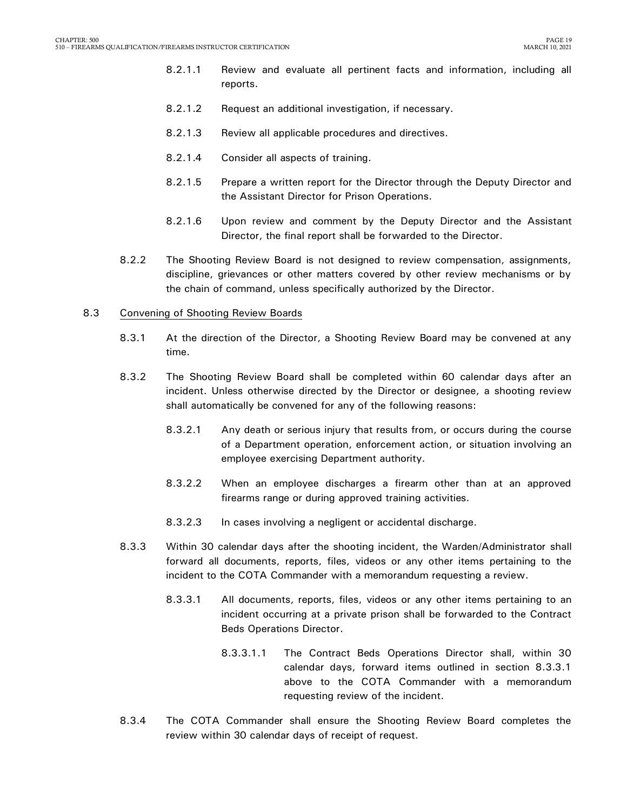- 8.2.1.1 Review and evaluate all pertinent facts and information, including all reports.
- 8.2.1.2 Request an additional investigation, if necessary.
- 8.2.1.3 Review all applicable procedures and directives.
- 8.2.1.4 Consider all aspects of training.
- 8.2.1.5 Prepare a written report for the Director through the Deputy Director and the Assistant Director for Prison Operations.
- 8.2.1.6 Upon review and comment by the Deputy Director and the Assistant Director, the final report shall be forwarded to the Director.
- 8.2.2 The Shooting Review Board is not designed to review compensation, assignments, discipline, grievances or other matters covered by other review mechanisms or by the chain of command, unless specifically authorized by the Director.

#### 8.3 Convening of Shooting Review Boards

- 8.3.1 At the direction of the Director, a Shooting Review Board may be convened at any time.
- 8.3.2 The Shooting Review Board shall be completed within 60 calendar days after an incident. Unless otherwise directed by the Director or designee, a shooting review shall automatically be convened for any of the following reasons:
	- 8.3.2.1 Any death or serious injury that results from, or occurs during the course of a Department operation, enforcement action, or situation involving an employee exercising Department authority.
	- 8.3.2.2 When an employee discharges a firearm other than at an approved firearms range or during approved training activities.
	- 8.3.2.3 In cases involving a negligent or accidental discharge.
- 8.3.3 Within 30 calendar days after the shooting incident, the Warden/Administrator shall forward all documents, reports, files, videos or any other items pertaining to the incident to the COTA Commander with a memorandum requesting a review.
	- 8.3.3.1 All documents, reports, files, videos or any other items pertaining to an incident occurring at a private prison shall be forwarded to the Contract Beds Operations Director.
		- 8.3.3.1.1 The Contract Beds Operations Director shall, within 30 calendar days, forward items outlined in section 8.3.3.1 above to the COTA Commander with a memorandum requesting review of the incident.
- 8.3.4 The COTA Commander shall ensure the Shooting Review Board completes the review within 30 calendar days of receipt of request.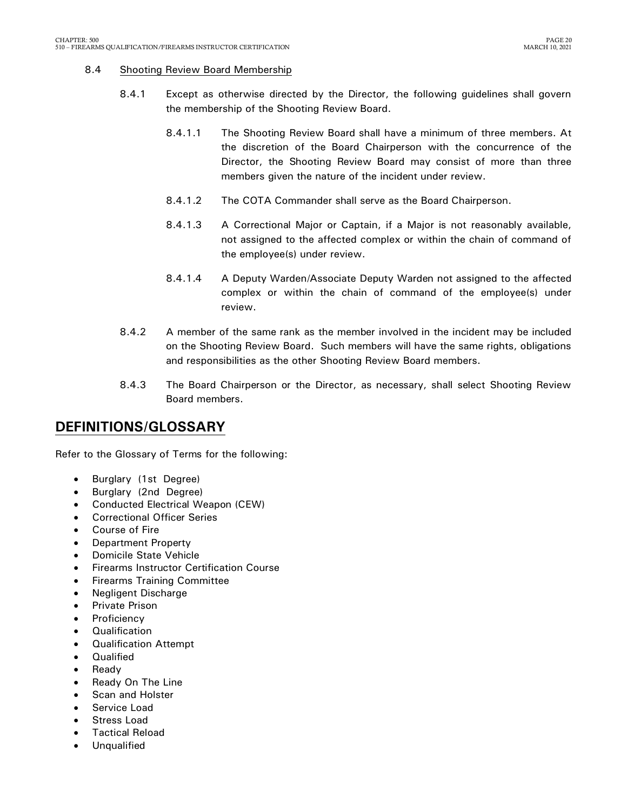#### 8.4 Shooting Review Board Membership

- 8.4.1 Except as otherwise directed by the Director, the following guidelines shall govern the membership of the Shooting Review Board.
	- 8.4.1.1 The Shooting Review Board shall have a minimum of three members. At the discretion of the Board Chairperson with the concurrence of the Director, the Shooting Review Board may consist of more than three members given the nature of the incident under review.
	- 8.4.1.2 The COTA Commander shall serve as the Board Chairperson.
	- 8.4.1.3 A Correctional Major or Captain, if a Major is not reasonably available, not assigned to the affected complex or within the chain of command of the employee(s) under review.
	- 8.4.1.4 A Deputy Warden/Associate Deputy Warden not assigned to the affected complex or within the chain of command of the employee(s) under review.
- 8.4.2 A member of the same rank as the member involved in the incident may be included on the Shooting Review Board. Such members will have the same rights, obligations and responsibilities as the other Shooting Review Board members.
- 8.4.3 The Board Chairperson or the Director, as necessary, shall select Shooting Review Board members.

# <span id="page-21-0"></span>**DEFINITIONS/GLOSSARY**

Refer to the Glossary of Terms for the following:

- Burglary (1st Degree)
- Burglary (2nd Degree)
- Conducted Electrical Weapon (CEW)
- Correctional Officer Series
- Course of Fire
- Department Property
- Domicile State Vehicle
- Firearms Instructor Certification Course
- Firearms Training Committee
- Negligent Discharge
- Private Prison
- **Proficiency**
- **Qualification**
- Qualification Attempt
- **Qualified**
- Ready
- Ready On The Line
- Scan and Holster
- Service Load
- Stress Load
- Tactical Reload
- Unqualified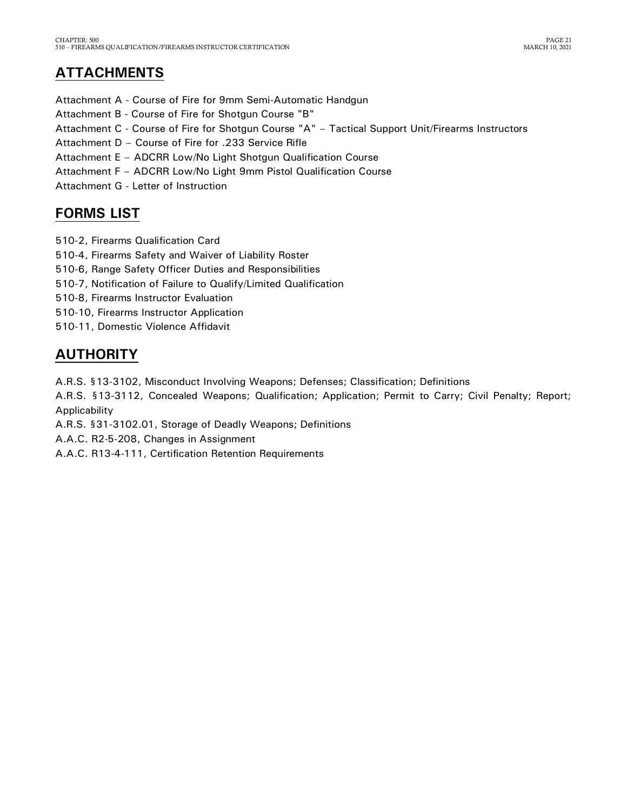# <span id="page-22-0"></span>**ATTACHMENTS**

- Attachment A Course of Fire for 9mm Semi-Automatic Handgun
- Attachment B Course of Fire for Shotgun Course "B"
- Attachment C Course of Fire for Shotgun Course "A" Tactical Support Unit/Firearms Instructors
- Attachment D Course of Fire for .233 Service Rifle
- Attachment E ADCRR Low/No Light Shotgun Qualification Course
- Attachment F ADCRR Low/No Light 9mm Pistol Qualification Course
- Attachment G Letter of Instruction

# <span id="page-22-1"></span>**FORMS LIST**

- 510-2, Firearms Qualification Card
- 510-4, Firearms Safety and Waiver of Liability Roster
- 510-6, Range Safety Officer Duties and Responsibilities
- 510-7, Notification of Failure to Qualify/Limited Qualification
- 510-8, Firearms Instructor Evaluation
- 510-10, Firearms Instructor Application
- 510-11, Domestic Violence Affidavit

# <span id="page-22-2"></span>**AUTHORITY**

A.R.S. §13-3102, Misconduct Involving Weapons; Defenses; Classification; Definitions

A.R.S. §13-3112, Concealed Weapons; Qualification; Application; Permit to Carry; Civil Penalty; Report; Applicability

A.R.S. §31-3102.01, Storage of Deadly Weapons; Definitions

A.A.C. R2-5-208, Changes in Assignment

A.A.C. R13-4-111, Certification Retention Requirements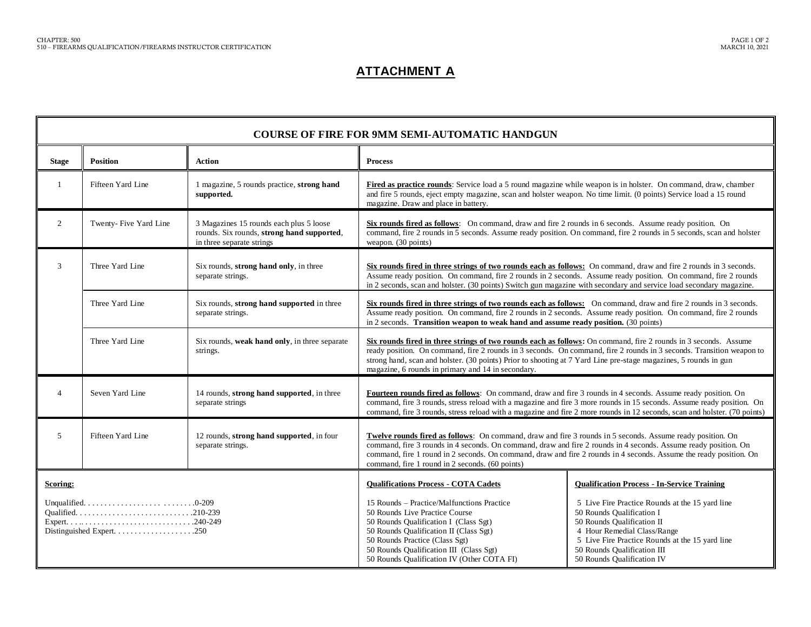### **ATTACHMENT A**

|                                                                                                     | <b>COURSE OF FIRE FOR 9MM SEMI-AUTOMATIC HANDGUN</b> |                                                                                                                    |                                                                                                                                                                                                                                                                                                                                                                                                                   |                                                                                                                                                                                                                                                           |  |  |
|-----------------------------------------------------------------------------------------------------|------------------------------------------------------|--------------------------------------------------------------------------------------------------------------------|-------------------------------------------------------------------------------------------------------------------------------------------------------------------------------------------------------------------------------------------------------------------------------------------------------------------------------------------------------------------------------------------------------------------|-----------------------------------------------------------------------------------------------------------------------------------------------------------------------------------------------------------------------------------------------------------|--|--|
| <b>Stage</b>                                                                                        | <b>Position</b><br><b>Action</b><br><b>Process</b>   |                                                                                                                    |                                                                                                                                                                                                                                                                                                                                                                                                                   |                                                                                                                                                                                                                                                           |  |  |
|                                                                                                     | Fifteen Yard Line                                    | 1 magazine, 5 rounds practice, strong hand<br>supported.                                                           | Fired as practice rounds: Service load a 5 round magazine while weapon is in holster. On command, draw, chamber<br>and fire 5 rounds, eject empty magazine, scan and holster weapon. No time limit. (0 points) Service load a 15 round<br>magazine. Draw and place in battery.                                                                                                                                    |                                                                                                                                                                                                                                                           |  |  |
| $\overline{2}$                                                                                      | Twenty-Five Yard Line                                | 3 Magazines 15 rounds each plus 5 loose<br>rounds. Six rounds, strong hand supported,<br>in three separate strings | Six rounds fired as follows: On command, draw and fire 2 rounds in 6 seconds. Assume ready position. On<br>command, fire 2 rounds in 5 seconds. Assume ready position. On command, fire 2 rounds in 5 seconds, scan and holster<br>weapon. (30 points)                                                                                                                                                            |                                                                                                                                                                                                                                                           |  |  |
| 3                                                                                                   | Three Yard Line                                      | Six rounds, strong hand only, in three<br>separate strings.                                                        | Six rounds fired in three strings of two rounds each as follows: On command, draw and fire 2 rounds in 3 seconds.<br>Assume ready position. On command, fire 2 rounds in 2 seconds. Assume ready position. On command, fire 2 rounds<br>in 2 seconds, scan and holster. (30 points) Switch gun magazine with secondary and service load secondary magazine.                                                       |                                                                                                                                                                                                                                                           |  |  |
|                                                                                                     | Three Yard Line                                      | Six rounds, strong hand supported in three<br>separate strings.                                                    | Six rounds fired in three strings of two rounds each as follows: On command, draw and fire 2 rounds in 3 seconds.<br>Assume ready position. On command, fire 2 rounds in 2 seconds. Assume ready position. On command, fire 2 rounds<br>in 2 seconds. Transition weapon to weak hand and assume ready position. (30 points)                                                                                       |                                                                                                                                                                                                                                                           |  |  |
|                                                                                                     | Three Yard Line                                      | Six rounds, weak hand only, in three separate<br>strings.                                                          | Six rounds fired in three strings of two rounds each as follows: On command, fire 2 rounds in 3 seconds. Assume<br>ready position. On command, fire 2 rounds in 3 seconds. On command, fire 2 rounds in 3 seconds. Transition weapon to<br>strong hand, scan and holster. (30 points) Prior to shooting at 7 Yard Line pre-stage magazines, 5 rounds in gun<br>magazine, 6 rounds in primary and 14 in secondary. |                                                                                                                                                                                                                                                           |  |  |
| Seven Yard Line<br>14 rounds, strong hand supported, in three<br>$\overline{4}$<br>separate strings |                                                      |                                                                                                                    | Fourteen rounds fired as follows: On command, draw and fire 3 rounds in 4 seconds. Assume ready position. On<br>command, fire 3 rounds, stress reload with a magazine and fire 3 more rounds in 15 seconds. Assume ready position. On<br>command, fire 3 rounds, stress reload with a magazine and fire 2 more rounds in 12 seconds, scan and holster. (70 points)                                                |                                                                                                                                                                                                                                                           |  |  |
| 5<br>Fifteen Yard Line<br>12 rounds, strong hand supported, in four<br>separate strings.            |                                                      |                                                                                                                    | Twelve rounds fired as follows: On command, draw and fire 3 rounds in 5 seconds. Assume ready position. On<br>command, fire 3 rounds in 4 seconds. On command, draw and fire 2 rounds in 4 seconds. Assume ready position. On<br>command, fire 1 round in 2 seconds. On command, draw and fire 2 rounds in 4 seconds. Assume the ready position. On<br>command, fire 1 round in 2 seconds. (60 points)            |                                                                                                                                                                                                                                                           |  |  |
| Scoring:                                                                                            |                                                      |                                                                                                                    | <b>Qualifications Process - COTA Cadets</b>                                                                                                                                                                                                                                                                                                                                                                       | <b>Qualification Process - In-Service Training</b>                                                                                                                                                                                                        |  |  |
|                                                                                                     |                                                      |                                                                                                                    | 15 Rounds – Practice/Malfunctions Practice<br>50 Rounds Live Practice Course<br>50 Rounds Qualification I (Class Sgt)<br>50 Rounds Qualification II (Class Sgt)<br>50 Rounds Practice (Class Sgt)<br>50 Rounds Qualification III (Class Sgt)<br>50 Rounds Qualification IV (Other COTA FI)                                                                                                                        | 5 Live Fire Practice Rounds at the 15 yard line<br>50 Rounds Qualification I<br>50 Rounds Qualification II<br>4 Hour Remedial Class/Range<br>5 Live Fire Practice Rounds at the 15 yard line<br>50 Rounds Qualification III<br>50 Rounds Qualification IV |  |  |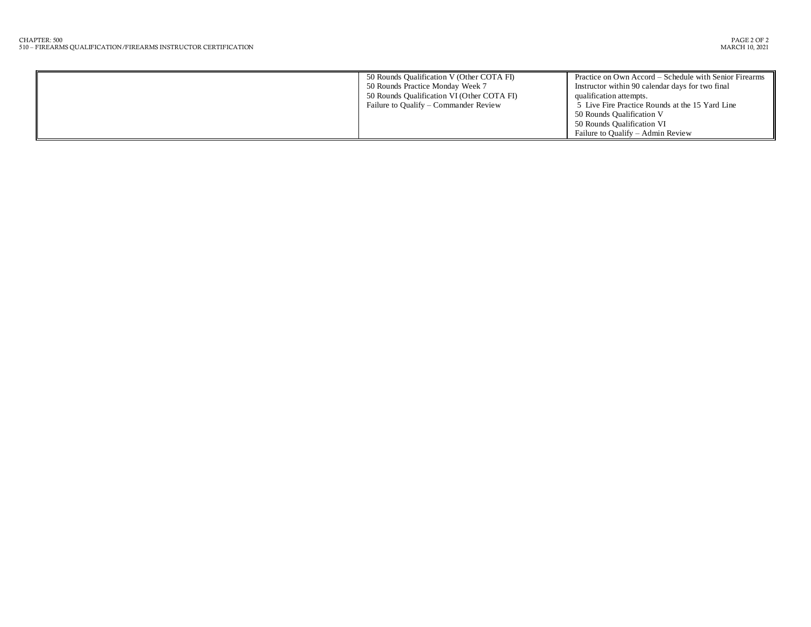| 50 Rounds Qualification V (Other COTA FI)<br>50 Rounds Practice Monday Week 7<br>50 Rounds Qualification VI (Other COTA FI)<br>Failure to Qualify – Commander Review | Practice on Own Accord – Schedule with Senior Firearms<br>Instructor within 90 calendar days for two final<br>qualification attempts.<br>5 Live Fire Practice Rounds at the 15 Yard Line<br>50 Rounds Qualification V<br>50 Rounds Qualification VI |
|----------------------------------------------------------------------------------------------------------------------------------------------------------------------|-----------------------------------------------------------------------------------------------------------------------------------------------------------------------------------------------------------------------------------------------------|
|                                                                                                                                                                      | Failure to Qualify – Admin Review                                                                                                                                                                                                                   |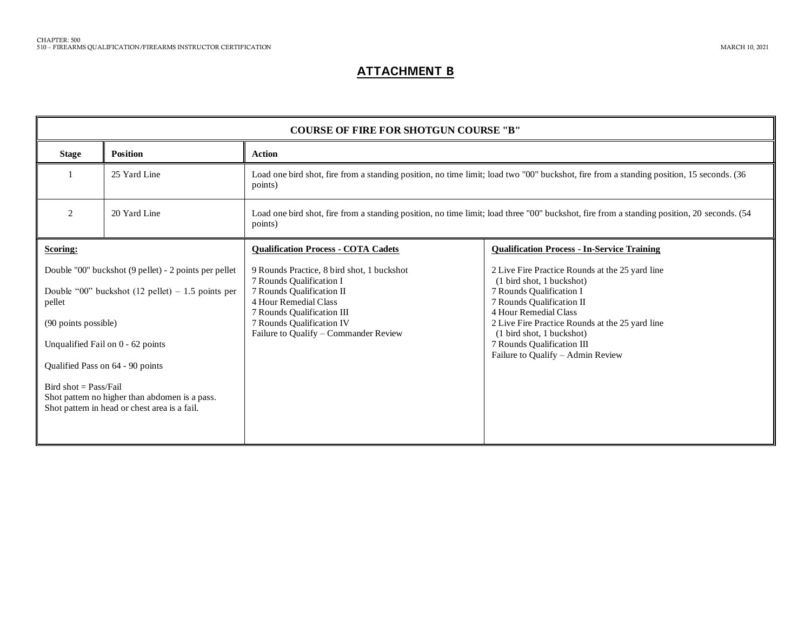### **ATTACHMENT B**

| <b>Position</b><br><b>Stage</b><br><b>Action</b><br>25 Yard Line<br>Load one bird shot, fire from a standing position, no time limit; load two "00" buckshot, fire from a standing position, 15 seconds. (36<br>points)<br>2<br>20 Yard Line<br>Load one bird shot, fire from a standing position, no time limit; load three "00" buckshot, fire from a standing position, 20 seconds. (54<br>points)<br><b>Qualification Process - COTA Cadets</b><br><b>Qualification Process - In-Service Training</b><br>Scoring:                                                                                                                                                                                                                                |                                                       | <b>COURSE OF FIRE FOR SHOTGUN COURSE "B"</b> |                                            |                                                 |  |  |
|------------------------------------------------------------------------------------------------------------------------------------------------------------------------------------------------------------------------------------------------------------------------------------------------------------------------------------------------------------------------------------------------------------------------------------------------------------------------------------------------------------------------------------------------------------------------------------------------------------------------------------------------------------------------------------------------------------------------------------------------------|-------------------------------------------------------|----------------------------------------------|--------------------------------------------|-------------------------------------------------|--|--|
|                                                                                                                                                                                                                                                                                                                                                                                                                                                                                                                                                                                                                                                                                                                                                      |                                                       |                                              |                                            |                                                 |  |  |
|                                                                                                                                                                                                                                                                                                                                                                                                                                                                                                                                                                                                                                                                                                                                                      |                                                       |                                              |                                            |                                                 |  |  |
|                                                                                                                                                                                                                                                                                                                                                                                                                                                                                                                                                                                                                                                                                                                                                      |                                                       |                                              |                                            |                                                 |  |  |
| (1 bird shot, 1 buckshot)<br>7 Rounds Qualification I<br>Double "00" buckshot $(12$ pellet) – 1.5 points per<br>7 Rounds Qualification II<br>7 Rounds Qualification I<br>4 Hour Remedial Class<br>7 Rounds Qualification II<br>pellet<br>4 Hour Remedial Class<br>7 Rounds Qualification III<br>7 Rounds Qualification IV<br>2 Live Fire Practice Rounds at the 25 yard line<br>(90 points possible)<br>Failure to Qualify - Commander Review<br>(1 bird shot, 1 buckshot)<br>7 Rounds Qualification III<br>Unqualified Fail on 0 - 62 points<br>Failure to Qualify - Admin Review<br>Qualified Pass on 64 - 90 points<br>Bird shot = $Pass/Fail$<br>Shot pattern no higher than abdomen is a pass.<br>Shot pattern in head or chest area is a fail. | Double "00" buckshot (9 pellet) - 2 points per pellet |                                              | 9 Rounds Practice, 8 bird shot, 1 buckshot | 2 Live Fire Practice Rounds at the 25 yard line |  |  |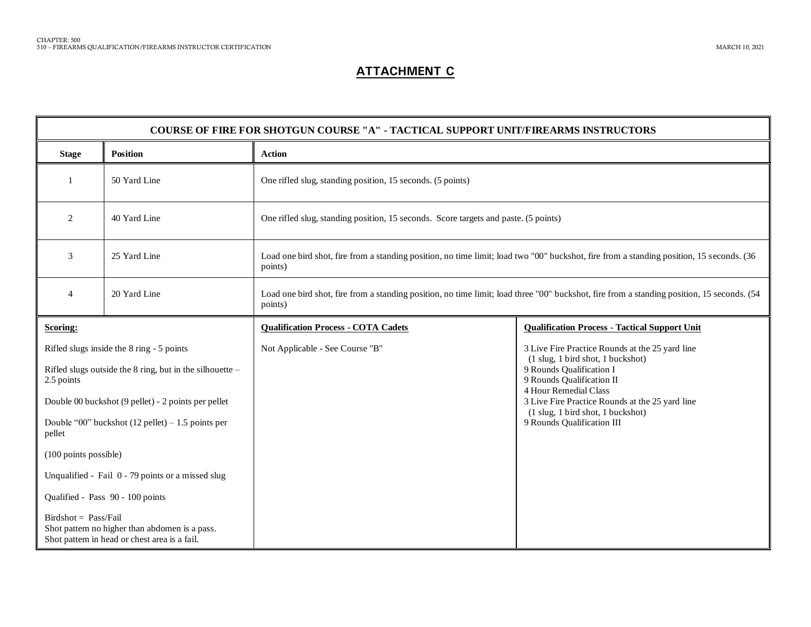### **ATTACHMENT C**

| <b>COURSE OF FIRE FOR SHOTGUN COURSE "A" - TACTICAL SUPPORT UNIT/FIREARMS INSTRUCTORS</b>                                 |                                                     |                                                                                                                                                       |                                                                                                                                                                        |  |  |
|---------------------------------------------------------------------------------------------------------------------------|-----------------------------------------------------|-------------------------------------------------------------------------------------------------------------------------------------------------------|------------------------------------------------------------------------------------------------------------------------------------------------------------------------|--|--|
| <b>Stage</b>                                                                                                              | <b>Position</b>                                     | <b>Action</b>                                                                                                                                         |                                                                                                                                                                        |  |  |
|                                                                                                                           | 50 Yard Line                                        | One rifled slug, standing position, 15 seconds. (5 points)                                                                                            |                                                                                                                                                                        |  |  |
| 2                                                                                                                         | 40 Yard Line                                        | One rifled slug, standing position, 15 seconds. Score targets and paste. (5 points)                                                                   |                                                                                                                                                                        |  |  |
| 3<br>25 Yard Line                                                                                                         |                                                     | Load one bird shot, fire from a standing position, no time limit; load two "00" buckshot, fire from a standing position, 15 seconds. (36<br>points)   |                                                                                                                                                                        |  |  |
| $\overline{4}$                                                                                                            | 20 Yard Line                                        | Load one bird shot, fire from a standing position, no time limit; load three "00" buckshot, fire from a standing position, 15 seconds. (54<br>points) |                                                                                                                                                                        |  |  |
| Scoring:                                                                                                                  |                                                     | <b>Qualification Process - COTA Cadets</b>                                                                                                            | <b>Qualification Process - Tactical Support Unit</b>                                                                                                                   |  |  |
| Rifled slugs inside the 8 ring - 5 points<br>Rifled slugs outside the 8 ring, but in the silhouette $-$<br>2.5 points     |                                                     | Not Applicable - See Course "B"                                                                                                                       | 3 Live Fire Practice Rounds at the 25 yard line<br>(1 slug, 1 bird shot, 1 buckshot)<br>9 Rounds Qualification I<br>9 Rounds Qualification II<br>4 Hour Remedial Class |  |  |
|                                                                                                                           | Double 00 buckshot (9 pellet) - 2 points per pellet |                                                                                                                                                       | 3 Live Fire Practice Rounds at the 25 yard line                                                                                                                        |  |  |
| Double "00" buckshot $(12$ pellet) – 1.5 points per<br>pellet                                                             |                                                     |                                                                                                                                                       | (1 slug, 1 bird shot, 1 buckshot)<br>9 Rounds Qualification III                                                                                                        |  |  |
| (100 points possible)                                                                                                     |                                                     |                                                                                                                                                       |                                                                                                                                                                        |  |  |
| Unqualified - Fail 0 - 79 points or a missed slug                                                                         |                                                     |                                                                                                                                                       |                                                                                                                                                                        |  |  |
| Qualified - Pass 90 - 100 points                                                                                          |                                                     |                                                                                                                                                       |                                                                                                                                                                        |  |  |
| $Birdshot = Pass/Fail$<br>Shot pattern no higher than abdomen is a pass.<br>Shot pattern in head or chest area is a fail. |                                                     |                                                                                                                                                       |                                                                                                                                                                        |  |  |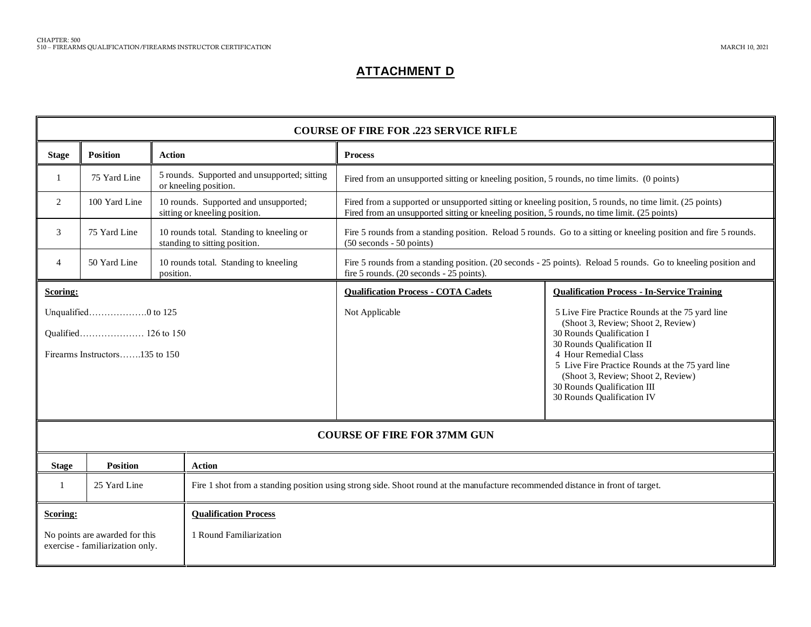### **ATTACHMENT D**

| <b>COURSE OF FIRE FOR .223 SERVICE RIFLE</b>                                                              |                 |                                                                                                                                 |                                                                                              |                                                                                                                                                                                                                                                                                                                                 |  |
|-----------------------------------------------------------------------------------------------------------|-----------------|---------------------------------------------------------------------------------------------------------------------------------|----------------------------------------------------------------------------------------------|---------------------------------------------------------------------------------------------------------------------------------------------------------------------------------------------------------------------------------------------------------------------------------------------------------------------------------|--|
| <b>Stage</b>                                                                                              | <b>Position</b> | <b>Action</b>                                                                                                                   | <b>Process</b>                                                                               |                                                                                                                                                                                                                                                                                                                                 |  |
| 1                                                                                                         | 75 Yard Line    | 5 rounds. Supported and unsupported; sitting<br>or kneeling position.                                                           | Fired from an unsupported sitting or kneeling position, 5 rounds, no time limits. (0 points) |                                                                                                                                                                                                                                                                                                                                 |  |
| 100 Yard Line<br>$\overline{2}$<br>10 rounds. Supported and unsupported;<br>sitting or kneeling position. |                 |                                                                                                                                 |                                                                                              | Fired from a supported or unsupported sitting or kneeling position, 5 rounds, no time limit. (25 points)<br>Fired from an unsupported sitting or kneeling position, 5 rounds, no time limit. (25 points)                                                                                                                        |  |
| 3                                                                                                         | 75 Yard Line    | 10 rounds total. Standing to kneeling or<br>standing to sitting position.                                                       | $(50 seconds - 50 points)$                                                                   | Fire 5 rounds from a standing position. Reload 5 rounds. Go to a sitting or kneeling position and fire 5 rounds.                                                                                                                                                                                                                |  |
| 4                                                                                                         | 50 Yard Line    | 10 rounds total. Standing to kneeling<br>position.                                                                              | fire 5 rounds. (20 seconds - 25 points).                                                     | Fire 5 rounds from a standing position. (20 seconds - 25 points). Reload 5 rounds. Go to kneeling position and                                                                                                                                                                                                                  |  |
| Scoring:                                                                                                  |                 |                                                                                                                                 | <b>Qualification Process - COTA Cadets</b>                                                   | <b>Qualification Process - In-Service Training</b>                                                                                                                                                                                                                                                                              |  |
| Unqualified0 to 125<br>Firearms Instructors135 to 150                                                     |                 |                                                                                                                                 | Not Applicable                                                                               | 5 Live Fire Practice Rounds at the 75 yard line<br>(Shoot 3, Review; Shoot 2, Review)<br>30 Rounds Qualification I<br>30 Rounds Qualification II<br>4 Hour Remedial Class<br>5 Live Fire Practice Rounds at the 75 yard line<br>(Shoot 3, Review; Shoot 2, Review)<br>30 Rounds Qualification III<br>30 Rounds Qualification IV |  |
| <b>COURSE OF FIRE FOR 37MM GUN</b>                                                                        |                 |                                                                                                                                 |                                                                                              |                                                                                                                                                                                                                                                                                                                                 |  |
| <b>Stage</b>                                                                                              | <b>Position</b> | <b>Action</b>                                                                                                                   |                                                                                              |                                                                                                                                                                                                                                                                                                                                 |  |
| -1                                                                                                        | 25 Yard Line    | Fire 1 shot from a standing position using strong side. Shoot round at the manufacture recommended distance in front of target. |                                                                                              |                                                                                                                                                                                                                                                                                                                                 |  |
| <b>Qualification Process</b><br>Scoring:                                                                  |                 |                                                                                                                                 |                                                                                              |                                                                                                                                                                                                                                                                                                                                 |  |
| 1 Round Familiarization<br>No points are awarded for this<br>exercise - familiarization only.             |                 |                                                                                                                                 |                                                                                              |                                                                                                                                                                                                                                                                                                                                 |  |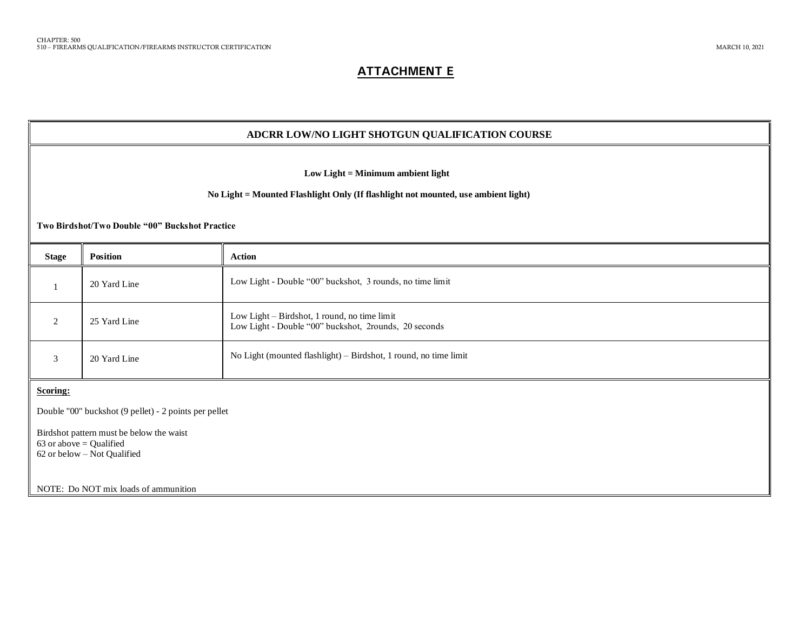### **ATTACHMENT E**

|                                                                                                                                                                          | ADCRR LOW/NO LIGHT SHOTGUN QUALIFICATION COURSE                                                      |                                                                                                       |  |  |  |
|--------------------------------------------------------------------------------------------------------------------------------------------------------------------------|------------------------------------------------------------------------------------------------------|-------------------------------------------------------------------------------------------------------|--|--|--|
| Low Light = Minimum ambient light<br>No Light = Mounted Flashlight Only (If flashlight not mounted, use ambient light)<br>Two Birdshot/Two Double "00" Buckshot Practice |                                                                                                      |                                                                                                       |  |  |  |
| <b>Stage</b>                                                                                                                                                             | Position                                                                                             | <b>Action</b>                                                                                         |  |  |  |
| 1                                                                                                                                                                        | 20 Yard Line                                                                                         | Low Light - Double "00" buckshot, 3 rounds, no time limit                                             |  |  |  |
| 2                                                                                                                                                                        | 25 Yard Line                                                                                         | Low Light - Birdshot, 1 round, no time limit<br>Low Light - Double "00" buckshot, 2rounds, 20 seconds |  |  |  |
| 3                                                                                                                                                                        | 20 Yard Line                                                                                         | No Light (mounted flashlight) - Birdshot, 1 round, no time limit                                      |  |  |  |
| Scoring:                                                                                                                                                                 |                                                                                                      |                                                                                                       |  |  |  |
| Double "00" buckshot (9 pellet) - 2 points per pellet                                                                                                                    |                                                                                                      |                                                                                                       |  |  |  |
|                                                                                                                                                                          | Birdshot pattern must be below the waist<br>63 or above $=$ Qualified<br>62 or below - Not Qualified |                                                                                                       |  |  |  |
|                                                                                                                                                                          | NOTE: Do NOT mix loads of ammunition                                                                 |                                                                                                       |  |  |  |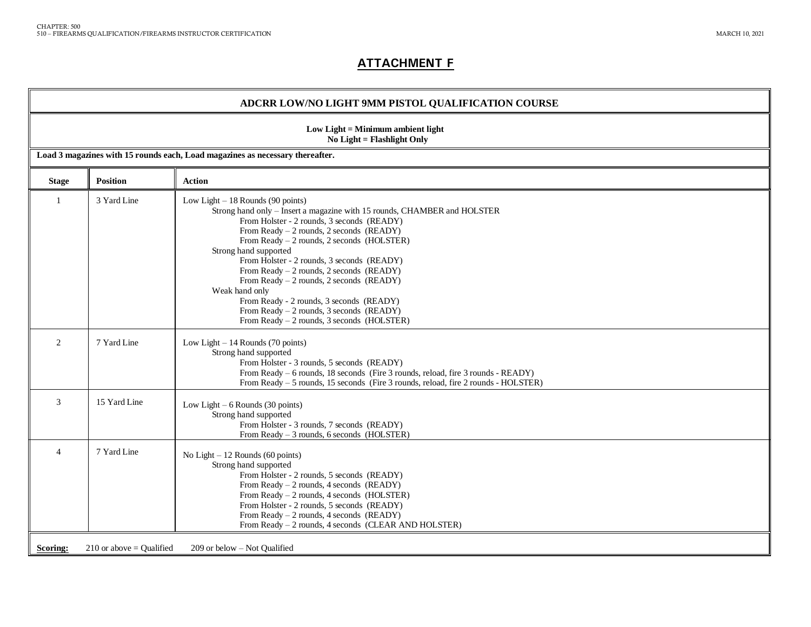### **ATTACHMENT F**

#### **ADCRR LOW/NO LIGHT 9MM PISTOL QUALIFICATION COURSE**

| Low Light = Minimum ambient light<br>No Light = Flashlight Only |                                                                               |                                                                                                                                                                                                                                                                                                                                                                                                                                                                                                                                                                                    |  |  |  |
|-----------------------------------------------------------------|-------------------------------------------------------------------------------|------------------------------------------------------------------------------------------------------------------------------------------------------------------------------------------------------------------------------------------------------------------------------------------------------------------------------------------------------------------------------------------------------------------------------------------------------------------------------------------------------------------------------------------------------------------------------------|--|--|--|
|                                                                 | Load 3 magazines with 15 rounds each, Load magazines as necessary thereafter. |                                                                                                                                                                                                                                                                                                                                                                                                                                                                                                                                                                                    |  |  |  |
| <b>Stage</b>                                                    | <b>Position</b>                                                               | <b>Action</b>                                                                                                                                                                                                                                                                                                                                                                                                                                                                                                                                                                      |  |  |  |
| $\mathbf{1}$                                                    | 3 Yard Line                                                                   | Low Light $-18$ Rounds (90 points)<br>Strong hand only - Insert a magazine with 15 rounds, CHAMBER and HOLSTER<br>From Holster - 2 rounds, 3 seconds (READY)<br>From Ready $-2$ rounds, 2 seconds (READY)<br>From Ready - 2 rounds, 2 seconds (HOLSTER)<br>Strong hand supported<br>From Holster - 2 rounds, 3 seconds (READY)<br>From Ready $-2$ rounds, 2 seconds (READY)<br>From Ready $-2$ rounds, 2 seconds (READY)<br>Weak hand only<br>From Ready - 2 rounds, 3 seconds (READY)<br>From Ready $-2$ rounds, 3 seconds (READY)<br>From Ready $-2$ rounds, 3 seconds (HOLSTER) |  |  |  |
| 2                                                               | 7 Yard Line                                                                   | Low Light $-14$ Rounds (70 points)<br>Strong hand supported<br>From Holster - 3 rounds, 5 seconds (READY)<br>From Ready – 6 rounds, 18 seconds (Fire 3 rounds, reload, fire 3 rounds - READY)<br>From Ready - 5 rounds, 15 seconds (Fire 3 rounds, reload, fire 2 rounds - HOLSTER)                                                                                                                                                                                                                                                                                                |  |  |  |
| 3                                                               | 15 Yard Line                                                                  | Low Light $-6$ Rounds (30 points)<br>Strong hand supported<br>From Holster - 3 rounds, 7 seconds (READY)<br>From Ready $-3$ rounds, 6 seconds (HOLSTER)                                                                                                                                                                                                                                                                                                                                                                                                                            |  |  |  |
| $\overline{4}$                                                  | 7 Yard Line                                                                   | No Light $-12$ Rounds (60 points)<br>Strong hand supported<br>From Holster - 2 rounds, 5 seconds (READY)<br>From Ready $-2$ rounds, 4 seconds (READY)<br>From Ready $-2$ rounds, 4 seconds (HOLSTER)<br>From Holster - 2 rounds, 5 seconds (READY)<br>From Ready $-2$ rounds, 4 seconds (READY)<br>From Ready - 2 rounds, 4 seconds (CLEAR AND HOLSTER)                                                                                                                                                                                                                            |  |  |  |
| Scoring:                                                        | 210 or above $=$ Qualified                                                    | 209 or below - Not Qualified                                                                                                                                                                                                                                                                                                                                                                                                                                                                                                                                                       |  |  |  |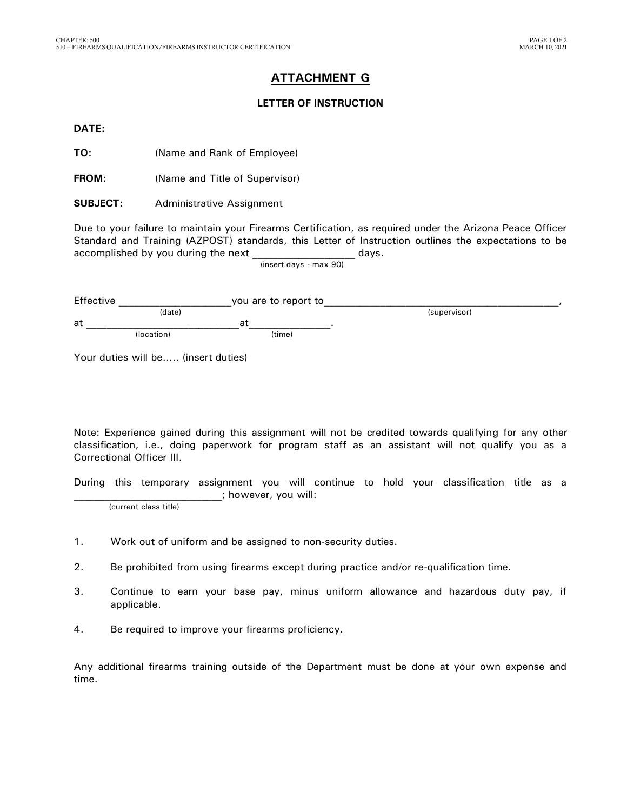### **ATTACHMENT G**

#### **LETTER OF INSTRUCTION**

**DATE:**

**TO:** (Name and Rank of Employee)

**FROM:** (Name and Title of Supervisor)

**SUBJECT:** Administrative Assignment

Due to your failure to maintain your Firearms Certification, as required under the Arizona Peace Officer Standard and Training (AZPOST) standards, this Letter of Instruction outlines the expectations to be accomplished by you during the next example of the days.

(insert days - max 90)

| Effective |            | you are to report to |        |              |  |
|-----------|------------|----------------------|--------|--------------|--|
|           | (date)     |                      |        | (supervisor) |  |
| at        |            | a                    |        |              |  |
|           | (location) |                      | (time) |              |  |

Your duties will be..... (insert duties)

Note: Experience gained during this assignment will not be credited towards qualifying for any other classification, i.e., doing paperwork for program staff as an assistant will not qualify you as a Correctional Officer III.

During this temporary assignment you will continue to hold your classification title as a ; however, you will:

(current class title)

- 1. Work out of uniform and be assigned to non-security duties.
- 2. Be prohibited from using firearms except during practice and/or re-qualification time.
- 3. Continue to earn your base pay, minus uniform allowance and hazardous duty pay, if applicable.
- 4. Be required to improve your firearms proficiency.

Any additional firearms training outside of the Department must be done at your own expense and time.